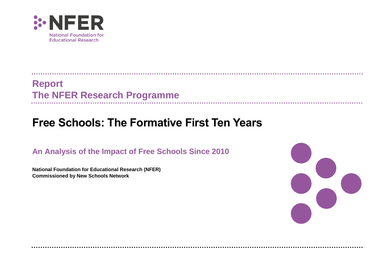

. . . . . . . . . . . . .

**Report The NFER Research Programme**

# **Free Schools: The Formative First Ten Years**

**An Analysis of the Impact of Free Schools Since 2010** 

**National Foundation for Educational Research (NFER) Commissioned by New Schools Network**

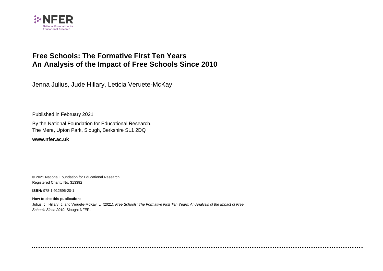

## **Free Schools: The Formative First Ten Years An Analysis of the Impact of Free Schools Since 2010**

Jenna Julius, Jude Hillary, Leticia Veruete-McKay

Published in February 2021

By the National Foundation for Educational Research, The Mere, Upton Park, Slough, Berkshire SL1 2DQ

**[www.nfer.ac.uk](http://www.nfer.ac.uk/)**

© 2021 National Foundation for Educational Research Registered Charity No. 313392

**ISBN:** 978-1-912596-20-1

**How to cite this publication:** Julius. J., Hillary, J. and Veruete-McKay, L. (2021). *Free Schools: The Formative First Ten Years: An Analysis of the Impact of Free Schools Since 2010.* Slough: NFER.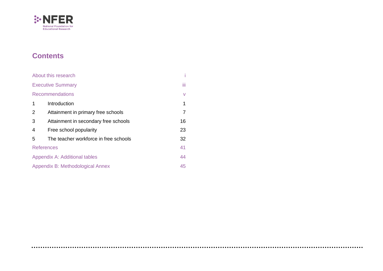

## **Contents**

|                | About this research                   | i    |
|----------------|---------------------------------------|------|
|                | <b>Executive Summary</b>              | iii. |
|                | <b>Recommendations</b>                | V    |
| 1              | Introduction                          | 1    |
| $\overline{2}$ | Attainment in primary free schools    | 7    |
| 3              | Attainment in secondary free schools  | 16   |
| 4              | Free school popularity                | 23   |
| 5              | The teacher workforce in free schools | 32   |
|                | <b>References</b>                     | 41   |
|                | Appendix A: Additional tables         | 44   |
|                | Appendix B: Methodological Annex      | 45   |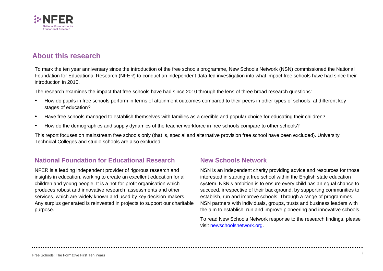

### <span id="page-3-0"></span>**About this research**

To mark the ten year anniversary since the introduction of the free schools programme, New Schools Network (NSN) commissioned the National Foundation for Educational Research (NFER) to conduct an independent data-led investigation into what impact free schools have had since their introduction in 2010.

The research examines the impact that free schools have had since 2010 through the lens of three broad research questions:

- How do pupils in free schools perform in terms of attainment outcomes compared to their peers in other types of schools, at different key stages of education?
- Have free schools managed to establish themselves with families as a credible and popular choice for educating their children?
- How do the demographics and supply dynamics of the teacher workforce in free schools compare to other schools?

This report focuses on mainstream free schools only (that is, special and alternative provision free school have been excluded). University Technical Colleges and studio schools are also excluded.

### **National Foundation for Educational Research**

NFER is a leading independent provider of rigorous research and insights in education, working to create an excellent education for all children and young people. It is a not-for-profit organisation which produces robust and innovative research, assessments and other services, which are widely known and used by key decision-makers. Any surplus generated is reinvested in projects to support our charitable purpose.

### **New Schools Network**

NSN is an independent charity providing advice and resources for those interested in starting a free school within the English state education system. NSN's ambition is to ensure every child has an equal chance to succeed, irrespective of their background, by supporting communities to establish, run and improve schools. Through a range of programmes, NSN partners with individuals, groups, trusts and business leaders with the aim to establish, run and improve pioneering and innovative schools.

To read New Schools Network response to the research findings, please visit [newschoolsnetwork.org.](file:///C:/Users/julij/Desktop/www.newschoolsnetwork.org)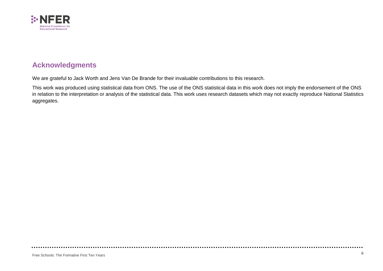

### **Acknowledgments**

We are grateful to Jack Worth and Jens Van De Brande for their invaluable contributions to this research.

This work was produced using statistical data from ONS. The use of the ONS statistical data in this work does not imply the endorsement of the ONS in relation to the interpretation or analysis of the statistical data. This work uses research datasets which may not exactly reproduce National Statistics aggregates.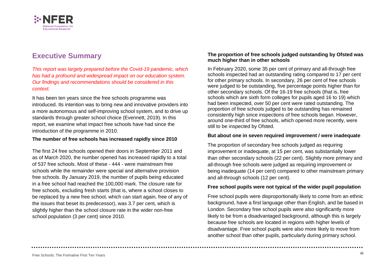

## <span id="page-5-0"></span>**Executive Summary**

*This report was largely prepared before the Covid-19 pandemic, which has had a profound and widespread impact on our education system. Our findings and recommendations should be considered in this context.*

It has been ten years since the free schools programme was introduced. Its intention was to bring new and innovative providers into a more autonomous and self-improving school system, and to drive up standards through greater school choice (Evennett, 2019). In this report, we examine what impact free schools have had since the introduction of the programme in 2010.

#### **The number of free schools has increased rapidly since 2010**

The first 24 free schools opened their doors in September 2011 and as of March 2020, the number opened has increased rapidly to a total of 537 free schools. Most of these - 444 - were mainstream free schools while the remainder were special and alternative provision free schools. By January 2019, the number of pupils being educated in a free school had reached the 100,000 mark. The closure rate for free schools, excluding fresh starts (that is, where a school closes to be replaced by a new free school, which can start again, free of any of the issues that beset its predecessor), was 3.7 per cent, which is slightly higher than the school closure rate in the wider non-free school population (3 per cent) since 2010.

#### **The proportion of free schools judged outstanding by Ofsted was much higher than in other schools**

In February 2020, some 35 per cent of primary and all-through free schools inspected had an outstanding rating compared to 17 per cent for other primary schools. In secondary, 26 per cent of free schools were judged to be outstanding, five percentage points higher than for other secondary schools. Of the 16-19 free schools (that is, free schools which are sixth form colleges for pupils aged 16 to 19) which had been inspected, over 50 per cent were rated outstanding. The proportion of free schools judged to be outstanding has remained consistently high since inspections of free schools began. However, around one-third of free schools, which opened more recently, were still to be inspected by Ofsted.

#### **But about one in seven required improvement / were inadequate**

The proportion of secondary free schools judged as requiring improvement or inadequate, at 15 per cent, was substantially lower than other secondary schools (22 per cent). Slightly more primary and all-through free schools were judged as requiring improvement or being inadequate (14 per cent) compared to other mainstream primary and all-through schools (12 per cent).

#### **Free school pupils were not typical of the wider pupil population**

Free school pupils were disproportionally likely to come from an ethnic background, have a first language other than English, and be based in London. Secondary free school pupils were also significantly more likely to be from a disadvantaged background, although this is largely because free schools are located in regions with higher levels of disadvantage. Free school pupils were also more likely to move from another school than other pupils, particularly during primary school.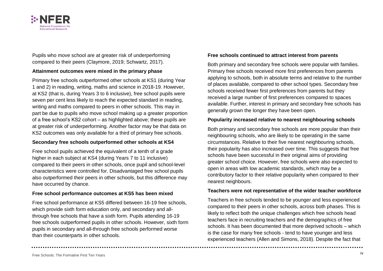

Pupils who move school are at greater risk of underperforming compared to their peers (Claymore, 2019; Schwartz, 2017).

#### **Attainment outcomes were mixed in the primary phase**

Primary free schools outperformed other schools at KS1 (during Year 1 and 2) in reading, writing, maths and science in 2018-19. However, at KS2 (that is, during Years 3 to 6 inclusive), free school pupils were seven per cent less likely to reach the expected standard in reading, writing and maths compared to peers in other schools. This may in part be due to pupils who move school making up a greater proportion of a free school's KS2 cohort – as highlighted above; these pupils are at greater risk of underperforming. Another factor may be that data on KS2 outcomes was only available for a third of primary free schools.

#### **Secondary free schools outperformed other schools at KS4**

Free school pupils achieved the equivalent of a tenth of a grade higher in each subject at KS4 (during Years 7 to 11 inclusive) compared to their peers in other schools, once pupil and school-level characteristics were controlled for. Disadvantaged free school pupils also outperformed their peers in other schools, but this difference may have occurred by chance.

#### **Free school performance outcomes at KS5 has been mixed**

Free school performance at KS5 differed between 16-19 free schools, which provide sixth form education only, and secondary and allthrough free schools that have a sixth form. Pupils attending 16-19 free schools outperformed pupils in other schools. However, sixth form pupils in secondary and all-through free schools performed worse than their counterparts in other schools.

#### **Free schools continued to attract interest from parents**

Both primary and secondary free schools were popular with families. Primary free schools received more first preferences from parents applying to schools, both in absolute terms and relative to the number of places available, compared to other school types. Secondary free schools received fewer first preferences from parents but they received a large number of first preferences compared to spaces available. Further, interest in primary and secondary free schools has generally grown the longer they have been open.

#### **Popularity increased relative to nearest neighbouring schools**

Both primary and secondary free schools are more popular than their neighbouring schools, who are likely to be operating in the same circumstances. Relative to their five nearest neighbouring schools, their popularity has also increased over time. This suggests that free schools have been successful in their original aims of providing greater school choice. However, free schools were also expected to open in areas with low academic standards, which may be a contributory factor to their relative popularity when compared to their nearest neighbours.

#### **Teachers were not representative of the wider teacher workforce**

Teachers in free schools tended to be younger and less experienced compared to their peers in other schools, across both phases. This is likely to reflect both the unique challenges which free schools head teachers face in recruiting teachers and the demographics of free schools. It has been documented that more deprived schools – which is the case for many free schools - tend to have younger and less experienced teachers (Allen and Simons, 2018). Despite the fact that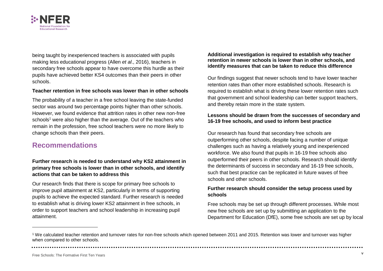

being taught by inexperienced teachers is associated with pupils making less educational progress (Allen *et al*., 2016), teachers in secondary free schools appear to have overcome this hurdle as their pupils have achieved better KS4 outcomes than their peers in other schools.

#### **Teacher retention in free schools was lower than in other schools**

The probability of a teacher in a free school leaving the state-funded sector was around two percentage points higher than other schools. However, we found evidence that attrition rates in other new non-free schools<sup>1</sup> were also higher than the average. Out of the teachers who remain in the profession, free school teachers were no more likely to change schools than their peers.

### <span id="page-7-0"></span>**Recommendations**

#### **Further research is needed to understand why KS2 attainment in primary free schools is lower than in other schools, and identify actions that can be taken to address this**

Our research finds that there is scope for primary free schools to improve pupil attainment at KS2, particularly in terms of supporting pupils to achieve the expected standard. Further research is needed to establish what is driving lower KS2 attainment in free schools, in order to support teachers and school leadership in increasing pupil attainment.

#### **Additional investigation is required to establish why teacher retention in newer schools is lower than in other schools, and identify measures that can be taken to reduce this difference**

Our findings suggest that newer schools tend to have lower teacher retention rates than other more established schools. Research is required to establish what is driving these lower retention rates such that government and school leadership can better support teachers, and thereby retain more in the state system.

#### **Lessons should be drawn from the successes of secondary and 16-19 free schools, and used to inform best practice**

Our research has found that secondary free schools are outperforming other schools, despite facing a number of unique challenges such as having a relatively young and inexperienced workforce. We also found that pupils in 16-19 free schools also outperformed their peers in other schools. Research should identify the determinants of success in secondary and 16-19 free schools, such that best practice can be replicated in future waves of free schools and other schools.

#### **Further research should consider the setup process used by schools**

Free schools may be set up through different processes. While most new free schools are set up by submitting an application to the Department for Education (DfE), some free schools are set up by local

<sup>1</sup> We calculated teacher retention and turnover rates for non-free schools which opened between 2011 and 2015. Retention was lower and turnover was higher when compared to other schools.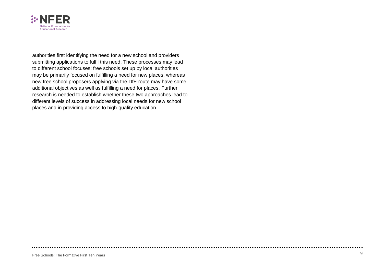

authorities first identifying the need for a new school and providers submitting applications to fulfil this need. These processes may lead to different school focuses: free schools set up by local authorities may be primarily focused on fulfilling a need for new places, whereas new free school proposers applying via the DfE route may have some additional objectives as well as fulfilling a need for places. Further research is needed to establish whether these two approaches lead to different levels of success in addressing local needs for new school places and in providing access to high-quality education.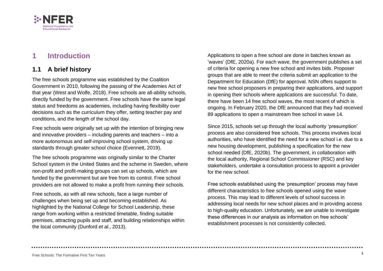

## <span id="page-9-0"></span>**1 Introduction**

### **1.1 A brief history**

The free schools programme was established by the Coalition Government in 2010, following the passing of the Academies Act of that year (West and Wolfe, 2018). Free schools are all-ability schools, directly funded by the government. Free schools have the same legal status and freedoms as academies, including having flexibility over decisions such as the curriculum they offer, setting teacher pay and conditions, and the length of the school day.

Free schools were originally set up with the intention of bringing new and innovative providers – including parents and teachers – into a more autonomous and self-improving school system, driving up standards through greater school choice (Evennett, 2019).

The free schools programme was originally similar to the Charter School system in the United States and the scheme in Sweden, where non-profit and profit-making groups can set up schools, which are funded by the government but are free from its control. Free school providers are not allowed to make a profit from running their schools.

Free schools, as with all new schools, face a large number of challenges when being set up and becoming established. As highlighted by the National College for School Leadership, these range from working within a restricted timetable, finding suitable premises, attracting pupils and staff, and building relationships within the local community (Dunford *et al*., 2013).

Applications to open a free school are done in batches known as 'waves' (DfE, 2020a). For each wave, the government publishes a set of criteria for opening a new free school and invites bids. Proposer groups that are able to meet the criteria submit an application to the Department for Education (DfE) for approval. NSN offers support to new free school proposers in preparing their applications, and support in opening their schools where applications are successful. To date, there have been 14 free school waves, the most recent of which is ongoing. In February 2020, the DfE announced that they had received 89 applications to open a mainstream free school in wave 14.

Since 2015, schools set up through the local authority 'presumption' process are also considered free schools. This process involves local authorities, who have identified the need for a new school i.e. due to a new housing development, publishing a specification for the new school needed (DfE, 2020b). The government, in collaboration with the local authority, Regional School Commissioner (RSC) and key stakeholders, undertake a consultation process to appoint a provider for the new school.

Free schools established using the 'presumption' process may have different characteristics to free schools opened using the wave process. This may lead to different levels of school success in addressing local needs for new school places and in providing access to high-quality education. Unfortunately, we are unable to investigate these differences in our analysis as information on free schools' establishment processes is not consistently collected.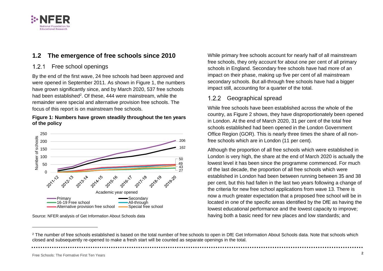

### **1.2 The emergence of free schools since 2010**

#### 1.2.1 Free school openings

By the end of the first wave, 24 free schools had been approved and were opened in September 2011. As shown in [Figure 1,](#page-10-0) the numbers have grown significantly since, and by March 2020, 537 free schools had been established<sup>2</sup>. Of these, 444 were mainstream, while the remainder were special and alternative provision free schools. The focus of this report is on mainstream free schools.

#### <span id="page-10-0"></span>**Figure 1: Numbers have grown steadily throughout the ten years of the policy**



Source: NFER analysis of Get Information About Schools data

While primary free schools account for nearly half of all mainstream free schools, they only account for about one per cent of all primary schools in England. Secondary free schools have had more of an impact on their phase, making up five per cent of all mainstream secondary schools. But all-through free schools have had a bigger impact still, accounting for a quarter of the total.

#### 1.2.2 Geographical spread

While free schools have been established across the whole of the country, as [Figure 2](#page-11-0) shows, they have disproportionately been opened in London. At the end of March 2020, 31 per cent of the total free schools established had been opened in the London Government Office Region (GOR). This is nearly three times the share of all nonfree schools which are in London (11 per cent).

Although the proportion of all free schools which were established in London is very high, the share at the end of March 2020 is actually the lowest level it has been since the programme commenced. For much of the last decade, the proportion of all free schools which were established in London had been between running between 35 and 38 per cent, but this had fallen in the last two years following a change of the criteria for new free school applications from wave 13. There is now a much greater expectation that a proposed free school will be in located in one of the specific areas identified by the DfE as having the lowest educational performance and the lowest capacity to improve; having both a basic need for new places and low standards; and

<sup>&</sup>lt;sup>2</sup> The number of free schools established is based on the total number of free schools to open in DfE Get Information About Schools data. Note that schools which closed and subsequently re-opened to make a fresh start will be counted as separate openings in the total.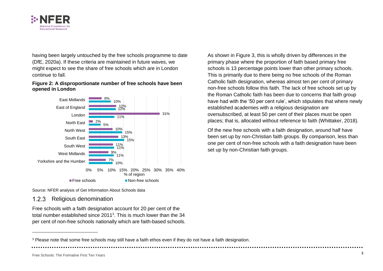

having been largely untouched by the free schools programme to date (DfE, 2020a). If these criteria are maintained in future waves, we might expect to see the share of free schools which are in London continue to fall.

#### <span id="page-11-0"></span>**Figure 2: A disproportionate number of free schools have been opened in London**



As shown in [Figure 3,](#page-12-0) this is wholly driven by differences in the primary phase where the proportion of faith based primary free schools is 13 percentage points lower than other primary schools. This is primarily due to there being no free schools of the Roman Catholic faith designation, whereas almost ten per cent of primary non-free schools follow this faith. The lack of free schools set up by the Roman Catholic faith has been due to concerns that faith group have had with the '50 per cent rule', which stipulates that where newly established [academies](https://en.wikipedia.org/wiki/Academies_(England)) with a religious designation are oversubscribed, at least 50 per cent of their places must be open places; that is, allocated without reference to faith (Whittaker, 2018).

Of the new free schools with a faith designation, around half have been set up by non-Christian faith groups. By comparison, less than one per cent of non-free schools with a faith designation have been set up by non-Christian faith groups.

Source: NFER analysis of Get Information About Schools data

#### $1.2.3$ Religious denomination

Free schools with a faith designation account for 20 per cent of the total number established since  $2011<sup>3</sup>$ . This is much lower than the 34 per cent of non-free schools nationally which are faith-based schools.

<sup>&</sup>lt;sup>3</sup> Please note that some free schools may still have a faith ethos even if they do not have a faith designation.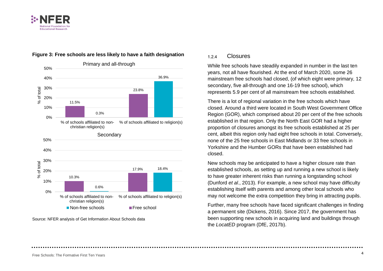



#### <span id="page-12-0"></span>**Figure 3: Free schools are less likely to have a faith designation**

Source: NFER analysis of Get Information About Schools data

#### Closures  $1.2.4$

While free schools have steadily expanded in number in the last ten years, not all have flourished. At the end of March 2020, some 26 mainstream free schools had closed, (of which eight were primary, 12 secondary, five all-through and one 16-19 free school), which represents 5.9 per cent of all mainstream free schools established.

There is a lot of regional variation in the free schools which have closed. Around a third were located in South West Government Office Region (GOR), which comprised about 20 per cent of the free schools established in that region. Only the North East GOR had a higher proportion of closures amongst its free schools established at 25 per cent, albeit this region only had eight free schools in total. Conversely, none of the 25 free schools in East Midlands or 33 free schools in Yorkshire and the Humber GORs that have been established had closed.

New schools may be anticipated to have a higher closure rate than established schools, as setting up and running a new school is likely to have greater inherent risks than running a longstanding school (Dunford *et al*., 2013). For example, a new school may have difficulty establishing itself with parents and among other local schools who may not welcome the extra competition they bring in attracting pupils.

Further, many free schools have faced significant challenges in finding a permanent site (Dickens, 2016). Since 2017, the government has been supporting new schools in acquiring land and buildings through the *LocatED* program (DfE, 2017b).

Free Schools: The Formative First Ten Years **<sup>4</sup>**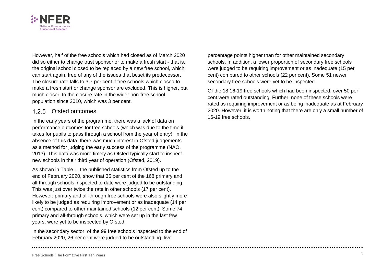

However, half of the free schools which had closed as of March 2020 did so either to change trust sponsor or to make a fresh start - that is, the original school closed to be replaced by a new free school, which can start again, free of any of the issues that beset its predecessor. The closure rate falls to 3.7 per cent if free schools which closed to make a fresh start or change sponsor are excluded. This is higher, but much closer, to the closure rate in the wider non-free school population since 2010, which was 3 per cent.

#### 1.2.5 Ofsted outcomes

In the early years of the programme, there was a lack of data on performance outcomes for free schools (which was due to the time it takes for pupils to pass through a school from the year of entry). In the absence of this data, there was much interest in Ofsted judgements as a method for judging the early success of the programme (NAO, 2013). This data was more timely as Ofsted typically start to inspect new schools in their third year of operation (Ofsted, 2019).

As shown in Table 1, the published statistics from Ofsted up to the end of February 2020, show that 35 per cent of the 168 primary and all-through schools inspected to date were judged to be outstanding. This was just over twice the rate in other schools (17 per cent). However, primary and all-through free schools were also slightly more likely to be judged as requiring improvement or as inadequate (14 per cent) compared to other maintained schools (12 per cent). Some 74 primary and all-through schools, which were set up in the last few years, were yet to be inspected by Ofsted.

In the secondary sector, of the 99 free schools inspected to the end of February 2020, 26 per cent were judged to be outstanding, five

percentage points higher than for other maintained secondary schools. In addition, a lower proportion of secondary free schools were judged to be requiring improvement or as inadequate (15 per cent) compared to other schools (22 per cent). Some 51 newer secondary free schools were yet to be inspected.

Of the 18 16-19 free schools which had been inspected, over 50 per cent were rated outstanding. Further, none of these schools were rated as requiring improvement or as being inadequate as at February 2020. However, it is worth noting that there are only a small number of 16-19 free schools.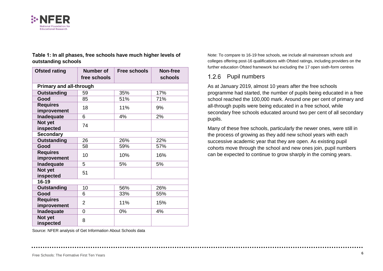

| <b>Ofsted rating</b>           | Number of<br>free schools | Free schools | <b>Non-free</b><br>schools |  |  |
|--------------------------------|---------------------------|--------------|----------------------------|--|--|
| <b>Primary and all-through</b> |                           |              |                            |  |  |
| <b>Outstanding</b>             | 59                        | 35%          | 17%                        |  |  |
| Good                           | 85                        | 51%          | 71%                        |  |  |
| <b>Requires</b><br>improvement | 18                        | 11%          | 9%                         |  |  |
| Inadequate                     | 6                         | 4%           | 2%                         |  |  |
| Not yet<br>inspected           | 74                        |              |                            |  |  |
| <b>Secondary</b>               |                           |              |                            |  |  |
| <b>Outstanding</b>             | 26                        | 26%          | 22%                        |  |  |
| Good                           | 58                        | 59%          | 57%                        |  |  |
| <b>Requires</b><br>improvement | 10                        | 10%          | 16%                        |  |  |
| Inadequate                     | 5                         | 5%           | 5%                         |  |  |
| Not yet<br>inspected           | 51                        |              |                            |  |  |
| $16 - 19$                      |                           |              |                            |  |  |
| <b>Outstanding</b>             | 10                        | 56%          | 26%                        |  |  |
| Good                           | 6                         | 33%          | 55%                        |  |  |
| <b>Requires</b><br>improvement | 2                         | 11%          | 15%                        |  |  |
| Inadequate                     | 0                         | 0%           | 4%                         |  |  |
| Not yet<br>inspected           | 8                         |              |                            |  |  |

**Table 1: In all phases, free schools have much higher levels of outstanding schools**

Note: To compare to 16-19 free schools, we include all mainstream schools and colleges offering post-16 qualifications with Ofsted ratings, including providers on the further education Ofsted framework but excluding the 17 open sixth-form centres

#### 1.2.6 Pupil numbers

As at January 2019, almost 10 years after the free schools programme had started, the number of pupils being educated in a free school reached the 100,000 mark. Around one per cent of primary and all-through pupils were being educated in a free school, while secondary free schools educated around two per cent of all secondary pupils.

Many of these free schools, particularly the newer ones, were still in the process of growing as they add new school years with each successive academic year that they are open. As existing pupil cohorts move through the school and new ones join, pupil numbers can be expected to continue to grow sharply in the coming years.

Source: NFER analysis of Get Information About Schools data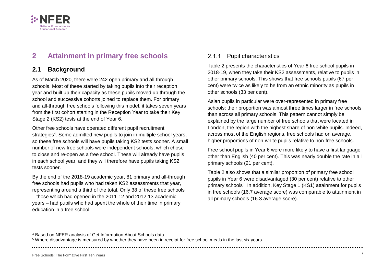

## <span id="page-15-0"></span>**2 Attainment in primary free schools**

### **2.1 Background**

As of March 2020, there were 242 open primary and all-through schools. Most of these started by taking pupils into their reception year and built up their capacity as these pupils moved up through the school and successive cohorts joined to replace them. For primary and all-through free schools following this model, it takes seven years from the first cohort starting in the Reception Year to take their Key Stage 2 (KS2) tests at the end of Year 6.

Other free schools have operated different pupil recruitment strategies<sup>4</sup>. Some admitted new pupils to join in multiple school years, so these free schools will have pupils taking KS2 tests sooner. A small number of new free schools were independent schools, which chose to close and re-open as a free school. These will already have pupils in each school year, and they will therefore have pupils taking KS2 tests sooner.

By the end of the 2018-19 academic year, 81 primary and all-through free schools had pupils who had taken KS2 assessments that year, representing around a third of the total. Only 38 of these free schools – those which had opened in the 2011-12 and 2012-13 academic years – had pupils who had spent the whole of their time in primary education in a free school.

#### 2.1.1 Pupil characteristics

[Table 2](#page-16-0) presents the characteristics of Year 6 free school pupils in 2018-19, when they take their KS2 assessments, relative to pupils in other primary schools. This shows that free schools pupils (67 per cent) were twice as likely to be from an ethnic minority as pupils in other schools (33 per cent).

Asian pupils in particular were over-represented in primary free schools: their proportion was almost three times larger in free schools than across all primary schools. This pattern cannot simply be explained by the large number of free schools that were located in London, the region with the highest share of non-white pupils. Indeed, across most of the English regions, free schools had on average, higher proportions of non-white pupils relative to non-free schools.

Free school pupils in Year 6 were more likely to have a first language other than English (40 per cent). This was nearly double the rate in all primary schools (21 per cent).

Table 2 also shows that a similar proportion of primary free school pupils in Year 6 were disadvantaged (30 per cent) relative to other primary schools<sup>5</sup>. In addition, Key Stage 1 (KS1) attainment for pupils in free schools (16.7 average score) was comparable to attainment in all primary schools (16.3 average score).

<sup>4</sup> Based on NFER analysis of Get Information About Schools data.

<sup>5</sup> Where disadvantage is measured by whether they have been in receipt for free school meals in the last six years.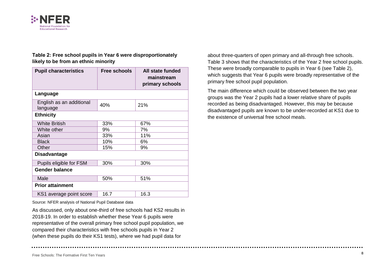

#### <span id="page-16-0"></span>**Table 2: Free school pupils in Year 6 were disproportionately likely to be from an ethnic minority**

| <b>Pupil characteristics</b>         | <b>Free schools</b> | All state funded<br>mainstream<br>primary schools |  |  |
|--------------------------------------|---------------------|---------------------------------------------------|--|--|
| Language                             |                     |                                                   |  |  |
| English as an additional<br>language | 40%                 | 21%                                               |  |  |
| <b>Ethnicity</b>                     |                     |                                                   |  |  |
| <b>White British</b>                 | 33%                 | 67%                                               |  |  |
| White other                          | 9%                  | 7%                                                |  |  |
| Asian                                | 33%                 | 11%                                               |  |  |
| <b>Black</b>                         | 10%                 | 6%                                                |  |  |
| Other                                | 15%                 | 9%                                                |  |  |
| <b>Disadvantage</b>                  |                     |                                                   |  |  |
| Pupils eligible for FSM              | 30%                 | 30%                                               |  |  |
| <b>Gender balance</b>                |                     |                                                   |  |  |
| Male                                 | 50%                 | 51%                                               |  |  |
| <b>Prior attainment</b>              |                     |                                                   |  |  |
| KS1 average point score              | 16.7                | 16.3                                              |  |  |

Source: NFER analysis of National Pupil Database data

As discussed, only about one-third of free schools had KS2 results in 2018-19. In order to establish whether these Year 6 pupils were representative of the overall primary free school pupil population, we compared their characteristics with free schools pupils in Year 2 (when these pupils do their KS1 tests), where we had pupil data for

about three-quarters of open primary and all-through free schools. [Table 3](#page-17-0) shows that the characteristics of the Year 2 free school pupils. These were broadly comparable to pupils in Year 6 (see Table 2), which suggests that Year 6 pupils were broadly representative of the primary free school pupil population.

The main difference which could be observed between the two year groups was the Year 2 pupils had a lower relative share of pupils recorded as being disadvantaged. However, this may be because disadvantaged pupils are known to be under-recorded at KS1 due to the existence of universal free school meals.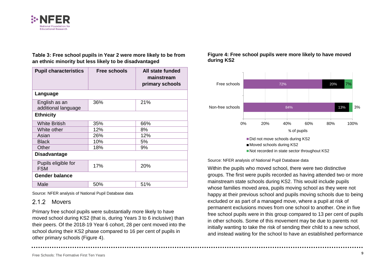

#### <span id="page-17-0"></span>**Table 3: Free school pupils in Year 2 were more likely to be from an ethnic minority but less likely to be disadvantaged**

| <b>Pupil characteristics</b>         | <b>Free schools</b> | All state funded<br>mainstream<br>primary schools |  |  |
|--------------------------------------|---------------------|---------------------------------------------------|--|--|
| Language                             |                     |                                                   |  |  |
| English as an<br>additional language | 36%                 | 21%                                               |  |  |
| <b>Ethnicity</b>                     |                     |                                                   |  |  |
| <b>White British</b>                 | 35%                 | 66%                                               |  |  |
| White other                          | 12%                 | 8%                                                |  |  |
| Asian                                | 26%                 | 12%                                               |  |  |
| <b>Black</b>                         | 10%                 | 5%                                                |  |  |
| Other                                | 18%                 | 9%                                                |  |  |
| <b>Disadvantage</b>                  |                     |                                                   |  |  |
| Pupils eligible for<br><b>FSM</b>    | 17%                 | 20%                                               |  |  |
| <b>Gender balance</b>                |                     |                                                   |  |  |
| Male                                 | 50%                 | 51%                                               |  |  |

Source: NFER analysis of National Pupil Database data

#### <span id="page-17-2"></span>2.1.2 Movers

Primary free school pupils were substantially more likely to have moved school during KS2 (that is, during Years 3 to 6 inclusive) than their peers. Of the 2018-19 Year 6 cohort, 28 per cent moved into the school during their KS2 phase compared to 16 per cent of pupils in other primary schools [\(Figure 4\)](#page-17-1).

#### <span id="page-17-1"></span>**Figure 4: Free school pupils were more likely to have moved during KS2**



Source: NFER analysis of National Pupil Database data

Within the pupils who moved school, there were two distinctive groups. The first were pupils recorded as having attended two or more mainstream state schools during KS2. This would include pupils whose families moved area, pupils moving school as they were not happy at their previous school and pupils moving schools due to being excluded or as part of a managed move, where a pupil at risk of permanent exclusions moves from one school to another. One in five free school pupils were in this group compared to 13 per cent of pupils in other schools. Some of this movement may be due to parents not initially wanting to take the risk of sending their child to a new school, and instead waiting for the school to have an established performance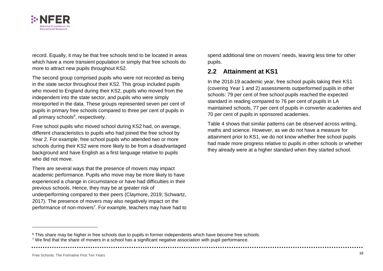

record. Equally, it may be that free schools tend to be located in areas which have a more transient population or simply that free schools do more to attract new pupils throughout KS2.

The second group comprised pupils who were not recorded as being in the state sector throughout their KS2. This group included pupils who moved to England during their KS2, pupils who moved from the independent into the state sector, and pupils who were simply misreported in the data. These groups represented seven per cent of pupils in primary free schools compared to three per cent of pupils in all primary schools<sup>6</sup>, respectively.

Free school pupils who moved school during KS2 had, on average, different characteristics to pupils who had joined the free school by Year 2. For example, free school pupils who attended two or more schools during their KS2 were more likely to be from a disadvantaged background and have English as a first language relative to pupils who did not move.

There are several ways that the presence of movers may impact academic performance. Pupils who move may be more likely to have experienced a change in circumstance or have had difficulties in their previous schools. Hence, they may be at greater risk of underperforming compared to their peers (Claymore, 2019; Schwartz, 2017). The presence of movers may also negatively impact on the performance of non-movers<sup>7</sup>. For example, teachers may have had to spend additional time on movers' needs, leaving less time for other pupils.

### **2.2 Attainment at KS1**

In the 2018-19 academic year, free school pupils taking their KS1 (covering Year 1 and 2) assessments outperformed pupils in other schools: 79 per cent of free school pupils reached the expected standard in reading compared to 76 per cent of pupils in LA maintained schools, 77 per cent of pupils in converter academies and 70 per cent of pupils in sponsored academies.

[Table 4](#page-19-0) shows that similar patterns can be observed across writing, maths and science. However, as we do not have a measure for attainment prior to KS1, we do not know whether free school pupils had made more progress relative to pupils in other schools or whether they already were at a higher standard when they started school.

<sup>&</sup>lt;sup>6</sup> This share may be higher in free schools due to pupils in former independents which have become free schools. <sup>7</sup> We find that the share of movers in a school has a significant negative association with pupil performance.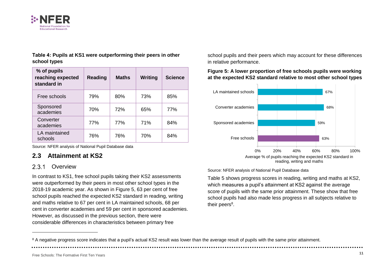

<span id="page-19-0"></span>**Table 4: Pupils at KS1 were outperforming their peers in other school types**

| % of pupils<br>reaching expected<br>standard in | <b>Reading</b> | <b>Maths</b> | Writing | <b>Science</b> |
|-------------------------------------------------|----------------|--------------|---------|----------------|
| Free schools                                    | 79%            | 80%          | 73%     | 85%            |
| Sponsored<br>academies                          | 70%            | 72%          | 65%     | 77%            |
| Converter<br>academies                          | 77%            | 77%          | 71%     | 84%            |
| LA maintained<br>schools                        | 76%            | 76%          | 70%     | 84%            |

Source: NFER analysis of National Pupil Database data

### **2.3 Attainment at KS2**

#### $2.3.1$ **Overview**

-

In contrast to KS1, free school pupils taking their KS2 assessments were outperformed by their peers in most other school types in the 2018-19 academic year. As shown in [Figure 5,](#page-19-1) 63 per cent of free school pupils reached the expected KS2 standard in reading, writing and maths relative to 67 per cent in LA maintained schools, 68 per cent in converter academies and 59 per cent in sponsored academies. However, as discussed in the previous section, there were considerable differences in characteristics between primary free

school pupils and their peers which may account for these differences in relative performance.

#### <span id="page-19-1"></span>**Figure 5: A lower proportion of free schools pupils were working at the expected KS2 standard relative to most other school types**



Source: NFER analysis of National Pupil Database data

[Table 5](#page-20-0) shows progress scores in reading, writing and maths at KS2, which measures a pupil's attainment at KS2 against the average score of pupils with the same prior attainment. These show that free school pupils had also made less progress in all subjects relative to their peers<sup>8</sup>.

<sup>&</sup>lt;sup>8</sup> A negative progress score indicates that a pupil's actual KS2 result was lower than the average result of pupils with the same prior attainment.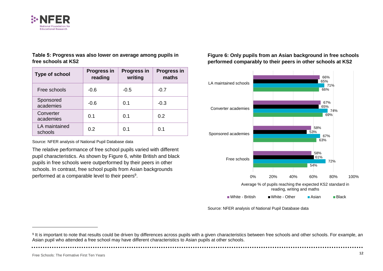

<span id="page-20-0"></span>**Table 5: Progress was also lower on average among pupils in free schools at KS2**

| <b>Type of school</b>    | <b>Progress in</b><br>reading | <b>Progress in</b><br>writing | <b>Progress in</b><br>maths |
|--------------------------|-------------------------------|-------------------------------|-----------------------------|
| Free schools             | $-0.6$                        | $-0.5$                        | $-0.7$                      |
| Sponsored<br>academies   | $-0.6$                        | 0.1                           | $-0.3$                      |
| Converter<br>academies   | 0.1                           | 0.1                           | 0.2                         |
| LA maintained<br>schools | 0.2                           | 0.1                           | 0.1                         |

Source: NFER analysis of National Pupil Database data

The relative performance of free school pupils varied with different pupil characteristics. As shown by [Figure 6,](#page-20-1) white British and black pupils in free schools were outperformed by their peers in other schools. In contrast, free school pupils from Asian backgrounds performed at a comparable level to their peers<sup>9</sup>.

<span id="page-20-1"></span>**Figure 6: Only pupils from an Asian background in free schools performed comparably to their peers in other schools at KS2**



Source: NFER analysis of National Pupil Database data

Free Schools: The Formative First Ten Years **<sup>12</sup>**

<sup>&</sup>lt;sup>9</sup> It is important to note that results could be driven by differences across pupils with a given characteristics between free schools and other schools. For example, an Asian pupil who attended a free school may have different characteristics to Asian pupils at other schools.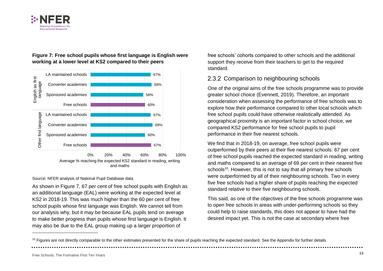



#### **Figure 7: Free school pupils whose first language is English were working at a lower level at KS2 compared to their peers**

#### Source: NFER analysis of National Pupil Database data

As shown in Figure 7, 67 per cent of free school pupils with English as an additional language (EAL) were working at the expected level at KS2 in 2018-19. This was much higher than the 60 per cent of free school pupils whose first language was English. We cannot tell from our analysis why, but it may be because EAL pupils tend on average to make better progress than pupils whose first language is English. It may also be due to the EAL group making up a larger proportion of

free schools' cohorts compared to other schools and the additional support they receive from their teachers to get to the required standard.

#### 2.3.2 Comparison to neighbouring schools

One of the original aims of the free schools programme was to provide greater school choice (Evennett, 2019). Therefore, an important consideration when assessing the performance of free schools was to explore how their performance compared to other local schools which free school pupils could have otherwise realistically attended. As geographical proximity is an important factor in school choice, we compared KS2 performance for free school pupils to pupil performance in their five nearest schools.

We find that in 2018-19, on average, free school pupils were outperformed by their peers at their five nearest schools: 67 per cent of free school pupils reached the expected standard in reading, writing and maths compared to an average of 69 per cent in their nearest five schools<sup>10</sup>. However, this is not to say that all primary free schools were outperformed by all of their neighbouring schools. Two in every five free schools had a higher share of pupils reaching the expected standard relative to their five neighbouring schools.

This said, as one of the objectives of the free schools programme was to open free schools in areas with under-performing schools so they could help to raise standards, this does not appear to have had the desired impact yet. This is not the case at secondary where free

<sup>&</sup>lt;sup>10</sup> Figures are not directly comparable to the other estimates presented for the share of pupils reaching the expected standard. See the Appendix for further details.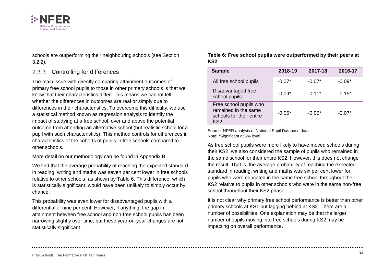

schools are outperforming their neighbouring schools (see Section [3.2.2\)](#page-27-0).

#### 2.3.3 Controlling for differences

The main issue with directly comparing attainment outcomes of primary free school pupils to those in other primary schools is that we know that their characteristics differ. This means we cannot tell whether the differences in outcomes are real or simply due to differences in their characteristics. To overcome this difficulty, we use a statistical method known as regression analysis to identify the impact of studying at a free school, over and above the potential outcome from attending an alternative school (but realistic school for a pupil with such characteristics). This method controls for differences in characteristics of the cohorts of pupils in free schools compared to other schools.

More detail on our methodology can be found in Appendix B.

We find that the average probability of reaching the expected standard in reading, writing and maths was seven per cent lower in free schools relative to other schools, as shown by [Table 6.](#page-22-0) This difference, which is statistically significant, would have been unlikely to simply occur by chance.

This probability was even lower for disadvantaged pupils with a differential of nine per cent. However, if anything, the gap in attainment between free school and non-free school pupils has been narrowing slightly over time, but these year-on-year changes are not statistically significant.

<span id="page-22-0"></span>**Table 6: Free school pupils were outperformed by their peers at KS2**

| <b>Sample</b>                                                                                 | 2018-19  | 2017-18  | 2016-17  |
|-----------------------------------------------------------------------------------------------|----------|----------|----------|
| All free school pupils                                                                        | $-0.07*$ | $-0.07*$ | $-0.09*$ |
| Disadvantaged free<br>school pupils                                                           | $-0.09*$ | $-0.11*$ | $-0.15*$ |
| Free school pupils who<br>remained in the same<br>schools for their entire<br>KS <sub>2</sub> | $-0.06*$ | $-0.05*$ | $-0.07*$ |

Source: NFER analysis of National Pupil Database data Note: \*Significant at 5% level

As free school pupils were more likely to have moved schools during their KS2, we also considered the sample of pupils who remained in the same school for their entire KS2. However, this does not change the result. That is, the average probability of reaching the expected standard in reading, writing and maths was six per cent lower for pupils who were educated in the same free school throughout their KS2 relative to pupils in other schools who were in the same non-free school throughout their KS2 phase.

It is not clear why primary free school performance is better than other primary schools at KS1 but lagging behind at KS2. There are a number of possibilities. One explanation may be that the larger number of pupils moving into free schools during KS2 may be impacting on overall performance.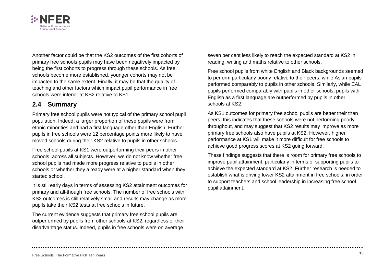

Another factor could be that the KS2 outcomes of the first cohorts of primary free schools pupils may have been negatively impacted by being the first cohorts to progress through these schools. As free schools become more established, younger cohorts may not be impacted to the same extent. Finally, it may be that the quality of teaching and other factors which impact pupil performance in free schools were inferior at KS2 relative to KS1.

### **2.4 Summary**

Primary free school pupils were not typical of the primary school pupil population. Indeed, a larger proportion of these pupils were from ethnic minorities and had a first language other than English. Further, pupils in free schools were 12 percentage points more likely to have moved schools during their KS2 relative to pupils in other schools.

Free school pupils at KS1 were outperforming their peers in other schools, across all subjects. However, we do not know whether free school pupils had made more progress relative to pupils in other schools or whether they already were at a higher standard when they started school.

It is still early days in terms of assessing KS2 attainment outcomes for primary and all-though free schools. The number of free schools with KS2 outcomes is still relatively small and results may change as more pupils take their KS2 tests at free schools in future.

The current evidence suggests that primary free school pupils are outperformed by pupils from other schools at KS2, regardless of their disadvantage status. Indeed, pupils in free schools were on average

seven per cent less likely to reach the expected standard at KS2 in reading, writing and maths relative to other schools.

Free school pupils from white English and Black backgrounds seemed to perform particularly poorly relative to their peers, while Asian pupils performed comparably to pupils in other schools. Similarly, while EAL pupils performed comparably with pupils in other schools, pupils with English as a first language are outperformed by pupils in other schools at KS2.

As KS1 outcomes for primary free school pupils are better their than peers, this indicates that these schools were not performing poorly throughout, and may suggest that KS2 results may improve as more primary free schools also have pupils at KS2. However, higher performance at KS1 will make it more difficult for free schools to achieve good progress scores at KS2 going forward.

These findings suggests that there is room for primary free schools to improve pupil attainment, particularly in terms of supporting pupils to achieve the expected standard at KS2. Further research is needed to establish what is driving lower KS2 attainment in free schools; in order to support teachers and school leadership in increasing free school pupil attainment.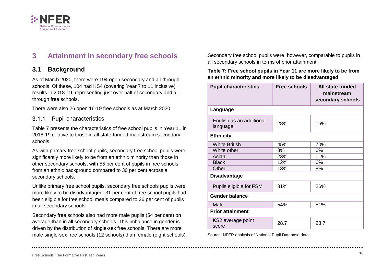

## <span id="page-24-0"></span>**3 Attainment in secondary free schools**

### **3.1 Background**

As of March 2020, there were 194 open secondary and all-through schools. Of these, 104 had KS4 (covering Year 7 to 11 inclusive) results in 2018-19, representing just over half of secondary and allthrough free schools.

There were also 26 open 16-19 free schools as at March 2020.

#### $3.1.1$ Pupil characteristics

[Table 7](#page-24-1) presents the characteristics of free school pupils in Year 11 in 2018-19 relative to those in all state-funded mainstream secondary schools.

As with primary free school pupils, secondary free school pupils were significantly more likely to be from an ethnic minority than those in other secondary schools, with 55 per cent of pupils in free schools from an ethnic background compared to 30 per cent across all secondary schools.

Unlike primary free school pupils, secondary free schools pupils were more likely to be disadvantaged: 31 per cent of free school pupils had been eligible for free school meals compared to 26 per cent of pupils in all secondary schools.

Secondary free schools also had more male pupils (54 per cent) on average than in all secondary schools. This imbalance in gender is driven by the distribution of single-sex free schools. There are more male single-sex free schools (12 schools) than female (eight schools).

Secondary free school pupils were, however, comparable to pupils in all secondary schools in terms of prior attainment.

#### <span id="page-24-1"></span>**Table 7: Free school pupils in Year 11 are more likely to be from an ethnic minority and more likely to be disadvantaged**

| <b>Pupil characteristics</b>         | <b>Free schools</b> | All state funded<br>mainstream<br>secondary schools |  |  |
|--------------------------------------|---------------------|-----------------------------------------------------|--|--|
| Language                             |                     |                                                     |  |  |
| English as an additional<br>language | 28%                 | 16%                                                 |  |  |
| <b>Ethnicity</b>                     |                     |                                                     |  |  |
| <b>White British</b>                 | 45%                 | 70%                                                 |  |  |
| White other                          | 8%                  | 6%                                                  |  |  |
| Asian                                | 23%                 | 11%                                                 |  |  |
| <b>Black</b>                         | 12%                 | 6%                                                  |  |  |
| Other                                | 13%                 | 8%                                                  |  |  |
| <b>Disadvantage</b>                  |                     |                                                     |  |  |
| Pupils eligible for FSM              | 31%                 | 26%                                                 |  |  |
| <b>Gender balance</b>                |                     |                                                     |  |  |
| Male                                 | 54%                 | 51%                                                 |  |  |
| <b>Prior attainment</b>              |                     |                                                     |  |  |
| KS2 average point<br>score           | 28.7                | 28.7                                                |  |  |

Source: NFER analysis of National Pupil Database data

Free Schools: The Formative First Ten Years **<sup>16</sup>**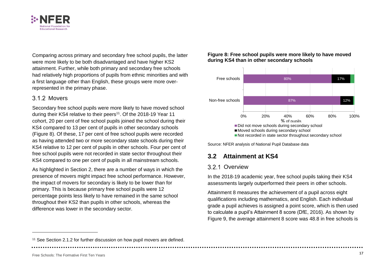

Comparing across primary and secondary free school pupils, the latter were more likely to be both disadvantaged and have higher KS2 attainment. Further, while both primary and secondary free schools had relatively high proportions of pupils from ethnic minorities and with a first language other than English, these groups were more overrepresented in the primary phase.

### 3.1.2 Movers

Secondary free school pupils were more likely to have moved school during their KS4 relative to their peers<sup>11</sup>. Of the 2018-19 Year 11 cohort, 20 per cent of free school pupils joined the school during their KS4 compared to 13 per cent of pupils in other secondary schools [\(Figure 8\)](#page-25-0). Of these, 17 per cent of free school pupils were recorded as having attended two or more secondary state schools during their KS4 relative to 12 per cent of pupils in other schools. Four per cent of free school pupils were not recorded in state sector throughout their KS4 compared to one per cent of pupils in all mainstream schools.

As highlighted in Section [2,](#page-15-0) there are a number of ways in which the presence of movers might impact free school performance. However, the impact of movers for secondary is likely to be lower than for primary. This is because primary free school pupils were 12 percentage points less likely to have remained in the same school throughout their KS2 than pupils in other schools, whereas the difference was lower in the secondary sector.

#### <span id="page-25-0"></span>**Figure 8: Free school pupils were more likely to have moved during KS4 than in other secondary schools**



Source: NFER analysis of National Pupil Database data

### **3.2 Attainment at KS4**

### 3.2.1 Overview

In the 2018-19 academic year, free school pupils taking their KS4 assessments largely outperformed their peers in other schools.

Attainment 8 measures the achievement of a pupil across eight qualifications including mathematics, and English. Each individual grade a pupil achieves is assigned a point score, which is then used to calculate a pupil's Attainment 8 score (DfE, 2016). As shown by [Figure 9,](#page-26-0) the average attainment 8 score was 48.8 in free schools is

<sup>&</sup>lt;sup>11</sup> See Section [2.1.2](#page-17-2) for further discussion on how pupil movers are defined.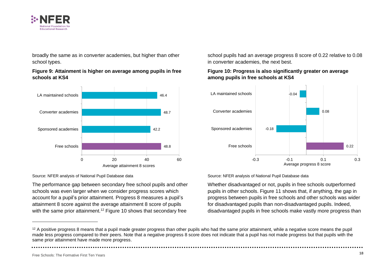

broadly the same as in converter academies, but higher than other school types.

#### <span id="page-26-0"></span>**Figure 9: Attainment is higher on average among pupils in free schools at KS4**



#### Source: NFER analysis of National Pupil Database data

The performance gap between secondary free school pupils and other schools was even larger when we consider progress scores which account for a pupil's prior attainment. Progress 8 measures a pupil's attainment 8 score against the average attainment 8 score of pupils with the same prior attainment.<sup>12</sup> [Figure 10](#page-26-1) shows that secondary free

school pupils had an average progress 8 score of 0.22 relative to 0.08 in converter academies, the next best.

#### <span id="page-26-1"></span>**Figure 10: Progress is also significantly greater on average among pupils in free schools at KS4**



#### Source: NFER analysis of National Pupil Database data

Whether disadvantaged or not, pupils in free schools outperformed pupils in other schools. [Figure 11](#page-27-1) shows that, if anything, the gap in progress between pupils in free schools and other schools was wider for disadvantaged pupils than non-disadvantaged pupils. Indeed, disadvantaged pupils in free schools make vastly more progress than

<sup>&</sup>lt;sup>12</sup> A positive progress 8 means that a pupil made greater progress than other pupils who had the same prior attainment, while a negative score means the pupil made less progress compared to their peers. Note that a negative progress 8 score does not indicate that a pupil has not made progress but that pupils with the same prior attainment have made more progress.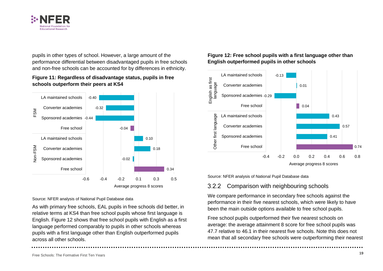

pupils in other types of school. However, a large amount of the performance differential between disadvantaged pupils in free schools and non-free schools can be accounted for by differences in ethnicity.

#### <span id="page-27-1"></span>**Figure 11: Regardless of disadvantage status, pupils in free schools outperform their peers at KS4**



#### Source: NFER analysis of National Pupil Database data

As with primary free schools, EAL pupils in free schools did better, in relative terms at KS4 than free school pupils whose first language is English. [Figure 12](#page-27-2) shows that free school pupils with English as a first language performed comparably to pupils in other schools whereas pupils with a first language other than English outperformed pupils across all other schools.

#### <span id="page-27-2"></span>**Figure 12: Free school pupils with a first language other than English outperformed pupils in other schools**



Source: NFER analysis of National Pupil Database data

#### <span id="page-27-0"></span>Comparison with neighbouring schools  $3.2.2$

We compare performance in secondary free schools against the performance in their five nearest schools, which were likely to have been the main outside options available to free school pupils.

Free school pupils outperformed their five nearest schools on average: the average attainment 8 score for free school pupils was 47.7 relative to 46.1 in their nearest five schools. Note this does not mean that all secondary free schools were outperforming their nearest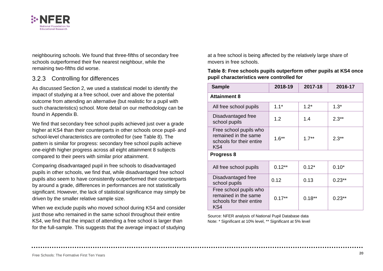

neighbouring schools. We found that three-fifths of secondary free schools outperformed their five nearest neighbour, while the remaining two-fifths did worse.

#### 3.2.3 Controlling for differences

As discussed Section [2,](#page-15-0) we used a statistical model to identify the impact of studying at a free school, over and above the potential outcome from attending an alternative (but realistic for a pupil with such characteristics) school. More detail on our methodology can be found in Appendix B.

We find that secondary free school pupils achieved just over a grade higher at KS4 than their counterparts in other schools once pupil- and school-level characteristics are controlled for (see Table 8). The pattern is similar for progress: secondary free school pupils achieve one-eighth higher progress across all eight attainment 8 subjects compared to their peers with similar prior attainment.

Comparing disadvantaged pupil in free schools to disadvantaged pupils in other schools, we find that, while disadvantaged free school pupils also seem to have consistently outperformed their counterparts by around a grade, differences in performances are not statistically significant. However, the lack of statistical significance may simply be driven by the smaller relative sample size.

When we exclude pupils who moved school during KS4 and consider just those who remained in the same school throughout their entire KS4, we find that the impact of attending a free school is larger than for the full-sample. This suggests that the average impact of studying

at a free school is being affected by the relatively large share of movers in free schools.

#### **Table 8: Free schools pupils outperform other pupils at KS4 once pupil characteristics were controlled for**

| <b>Sample</b>                                                                     | 2018-19  | 2017-18  | 2016-17  |  |  |
|-----------------------------------------------------------------------------------|----------|----------|----------|--|--|
| <b>Attainment 8</b>                                                               |          |          |          |  |  |
| All free school pupils                                                            | $1.1*$   | $1.2*$   | $1.3*$   |  |  |
| Disadvantaged free<br>school pupils                                               | 1.2      | 1.4      | $2.3**$  |  |  |
| Free school pupils who<br>remained in the same<br>schools for their entire<br>KS4 | $1.6**$  | $1.7**$  | $2.3**$  |  |  |
| Progress 8                                                                        |          |          |          |  |  |
| All free school pupils                                                            | $0.12**$ | $0.12*$  | $0.10*$  |  |  |
| Disadvantaged free<br>school pupils                                               | 0.12     | 0.13     | $0.23**$ |  |  |
| Free school pupils who<br>remained in the same<br>schools for their entire<br>KS4 | $0.17**$ | $0.18**$ | $0.23**$ |  |  |

Source: NFER analysis of National Pupil Database data Note: \* Significant at 10% level, \*\* Significant at 5% level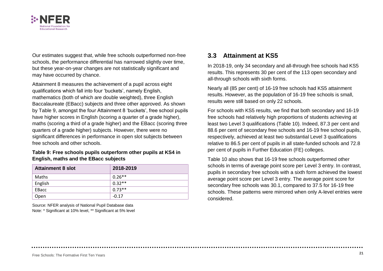

Our estimates suggest that, while free schools outperformed non-free schools, the performance differential has narrowed slightly over time, but these year-on-year changes are not statistically significant and may have occurred by chance.

Attainment 8 measures the achievement of a pupil across eight qualifications which fall into four 'buckets', namely English, mathematics (both of which are double weighted), three English Baccalaureate (EBacc) subjects and three other approved. As shown by [Table 9,](#page-29-0) amongst the four Attainment 8 'buckets', free school pupils have higher scores in English (scoring a quarter of a grade higher), maths (scoring a third of a grade higher) and the EBacc (scoring three quarters of a grade higher) subjects. However, there were no significant differences in performance in open slot subjects between free schools and other schools.

#### <span id="page-29-0"></span>**Table 9: Free schools pupils outperform other pupils at KS4 in English, maths and the EBacc subjects**

| <b>Attainment 8 slot</b> | 2018-2019 |
|--------------------------|-----------|
| Maths                    | $0.26**$  |
| English                  | $0.32**$  |
| EBacc                    | $0.73**$  |
| Open                     | $-0.17$   |

Source: NFER analysis of National Pupil Database data Note: \* Significant at 10% level, \*\* Significant at 5% level

### **3.3 Attainment at KS5**

In 2018-19, only 34 secondary and all-through free schools had KS5 results. This represents 30 per cent of the 113 open secondary and all-through schools with sixth forms.

Nearly all (85 per cent) of 16-19 free schools had KS5 attainment results. However, as the population of 16-19 free schools is small, results were still based on only 22 schools.

For schools with KS5 results, we find that both secondary and 16-19 free schools had relatively high proportions of students achieving at least two Level 3 qualifications [\(Table 10\)](#page-30-0). Indeed, 87.3 per cent and 88.6 per cent of secondary free schools and 16-19 free school pupils, respectively, achieved at least two substantial Level 3 qualifications relative to 86.5 per cent of pupils in all state-funded schools and 72.8 per cent of pupils in Further Education (FE) colleges.

[Table 10](#page-30-0) also shows that 16-19 free schools outperformed other schools in terms of average point score per Level 3 entry. In contrast, pupils in secondary free schools with a sixth form achieved the lowest average point score per Level 3 entry. The average point score for secondary free schools was 30.1, compared to 37.5 for 16-19 free schools. These patterns were mirrored when only A-level entries were considered.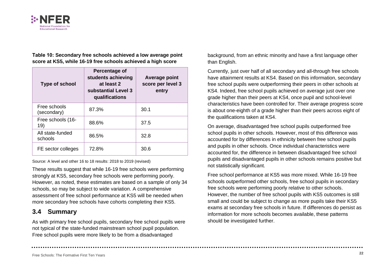

<span id="page-30-0"></span>**Table 10: Secondary free schools achieved a low average point score at KS5, while 16-19 free schools achieved a high score**

| <b>Type of school</b>       | Percentage of<br>students achieving<br>at least 2<br>substantial Level 3<br>qualifications | <b>Average point</b><br>score per level 3<br>entry |
|-----------------------------|--------------------------------------------------------------------------------------------|----------------------------------------------------|
| Free schools<br>(secondary) | 87.3%                                                                                      | 30.1                                               |
| Free schools (16-<br>19)    | 88.6%                                                                                      | 37.5                                               |
| All state-funded<br>schools | 86.5%                                                                                      | 32.8                                               |
| FE sector colleges          | 72.8%                                                                                      | 30.6                                               |

Source: A level and other 16 to 18 results: 2018 to 2019 (revised)

These results suggest that while 16-19 free schools were performing strongly at KS5, secondary free schools were performing poorly. However, as noted, these estimates are based on a sample of only 34 schools, so may be subject to wide variation. A comprehensive assessment of free school performance at KS5 will be needed when more secondary free schools have cohorts completing their KS5.

### **3.4 Summary**

As with primary free school pupils, secondary free school pupils were not typical of the state-funded mainstream school pupil population. Free school pupils were more likely to be from a disadvantaged

background, from an ethnic minority and have a first language other than English.

Currently, just over half of all secondary and all-through free schools have attainment results at KS4. Based on this information, secondary free school pupils were outperforming their peers in other schools at KS4. Indeed, free school pupils achieved on average just over one grade higher than their peers at KS4, once pupil and school-level characteristics have been controlled for. Their average progress score is about one-eighth of a grade higher than their peers across eight of the qualifications taken at KS4.

On average, disadvantaged free school pupils outperformed free school pupils in other schools. However, most of this difference was accounted for by differences in ethnicity between free school pupils and pupils in other schools. Once individual characteristics were accounted for, the difference in between disadvantaged free school pupils and disadvantaged pupils in other schools remains positive but not statistically significant.

Free school performance at KS5 was more mixed. While 16-19 free schools outperformed other schools, free school pupils in secondary free schools were performing poorly relative to other schools. However, the number of free school pupils with KS5 outcomes is still small and could be subject to change as more pupils take their KS5 exams at secondary free schools in future. If differences do persist as information for more schools becomes available, these patterns should be investigated further.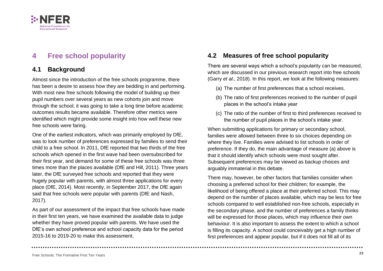

## <span id="page-31-0"></span>**4 Free school popularity**

### **4.1 Background**

Almost since the introduction of the free schools programme, there has been a desire to assess how they are bedding in and performing. With most new free schools following the model of building up their pupil numbers over several years as new cohorts join and move through the school, it was going to take a long time before academic outcomes results became available. Therefore other metrics were identified which might provide some insight into how well these new free schools were faring.

One of the earliest indicators, which was primarily employed by DfE, was to look number of preferences expressed by families to send their child to a free school. In 2011, DfE reported that two thirds of the free schools which opened in the first wave had been oversubscribed for their first year, and demand for some of these free schools was three times more than the places available (DfE and Hill, 2011). Three years later, the DfE surveyed free schools and reported that they were hugely popular with parents, with almost three applications for every place (DfE, 2014). Most recently, in September 2017, the DfE again said that free schools were popular with parents (DfE and Nash, 2017).

As part of our assessment of the impact that free schools have made in their first ten years, we have examined the available data to judge whether they have proved popular with parents. We have used the DfE's own school preference and school capacity data for the period 2015-16 to 2019-20 to make this assessment.

### **4.2 Measures of free school popularity**

There are several ways which a school's popularity can be measured, which are discussed in our previous research report into free schools (Garry *et al*., 2018). In this report, we look at the following measures:

- (a) The number of first preferences that a school receives.
- (b) The ratio of first preferences received to the number of pupil places in the school's intake year
- (c) The ratio of the number of first to third preferences received to the number of pupil places in the school's intake year.

When submitting applications for primary or secondary school, families were allowed between three to six choices depending on where they live. Families were advised to list schools in order of preference. If they do, the main advantage of measure (a) above is that it should identify which schools were most sought after. Subsequent preferences may be viewed as backup choices and arguably immaterial in this debate.

There may, however, be other factors that families consider when choosing a preferred school for their children; for example, the likelihood of being offered a place at their preferred school. This may depend on the number of places available, which may be less for free schools compared to well established non-free schools, especially in the secondary phase, and the number of preferences a family thinks will be expressed for those places, which may influence their own behaviour. It is also important to assess the extent to which a school is filling its capacity. A school could conceivably get a high number of first preferences and appear popular, but if it does not fill all of its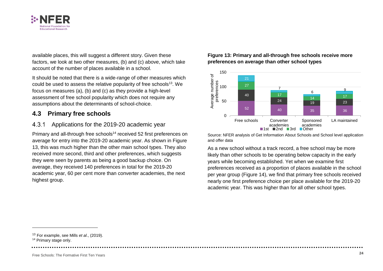

available places, this will suggest a different story. Given these factors, we look at two other measures, (b) and (c) above, which take account of the number of places available in a school.

It should be noted that there is a wide-range of other measures which could be used to assess the relative popularity of free schools<sup>13</sup>. We focus on measures (a), (b) and (c) as they provide a high-level assessment of free school popularity which does not require any assumptions about the determinants of school-choice.

### **4.3 Primary free schools**

#### $4.3.1$ Applications for the 2019-20 academic year

Primary and all-through free schools<sup>14</sup> received 52 first preferences on average for entry into the 2019-20 academic year. As shown in [Figure](#page-32-0)  [13,](#page-32-0) this was much higher than the other main school types. They also received more second, third and other preferences, which suggests they were seen by parents as being a good backup choice. On average, they received 140 preferences in total for the 2019-20 academic year, 60 per cent more than converter academies, the next highest group.

#### <span id="page-32-0"></span>**Figure 13: Primary and all-through free schools receive more preferences on average than other school types**



Source: NFER analysis of Get Information About Schools and School level application and offer data

As a new school without a track record, a free school may be more likely than other schools to be operating below capacity in the early years while becoming established. Yet when we examine first preferences received as a proportion of places available in the school per year group [\(Figure 14\)](#page-33-0), we find that primary free schools received nearly one first preference choice per place available for the 2019-20 academic year. This was higher than for all other school types.

<sup>13</sup> For example, see Mills *et al*., (2019).

<sup>14</sup> Primary stage only.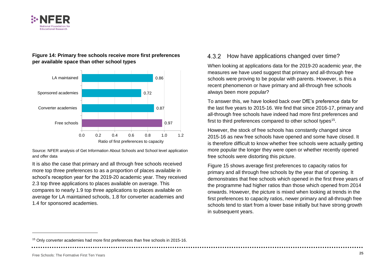

#### <span id="page-33-0"></span>**Figure 14: Primary free schools receive more first preferences per available space than other school types**



Source: NFER analysis of Get Information About Schools and School level application and offer data

It is also the case that primary and all through free schools received more top three preferences to as a proportion of places available in school's reception year for the 2019-20 academic year. They received 2.3 top three applications to places available on average. This compares to nearly 1.9 top three applications to places available on average for LA maintained schools, 1.8 for converter academies and 1.4 for sponsored academies.

#### 4.3.2 How have applications changed over time?

When looking at applications data for the 2019-20 academic year, the measures we have used suggest that primary and all-through free schools were proving to be popular with parents. However, is this a recent phenomenon or have primary and all-through free schools always been more popular?

To answer this, we have looked back over DfE's preference data for the last five years to 2015-16. We find that since 2016-17, primary and all-through free schools have indeed had more first preferences and first to third preferences compared to other school types<sup>15</sup>.

However, the stock of free schools has constantly changed since 2015-16 as new free schools have opened and some have closed. It is therefore difficult to know whether free schools were actually getting more popular the longer they were open or whether recently opened free schools were distorting this picture.

[Figure 15](#page-34-0) shows average first preferences to capacity ratios for primary and all through free schools by the year that of opening. It demonstrates that free schools which opened in the first three years of the programme had higher ratios than those which opened from 2014 onwards. However, the picture is mixed when looking at trends in the first preferences to capacity ratios, newer primary and all-through free schools tend to start from a lower base initially but have strong growth in subsequent years.

<sup>15</sup> Only converter academies had more first preferences than free schools in 2015-16.

Free Schools: The Formative First Ten Years **<sup>25</sup>**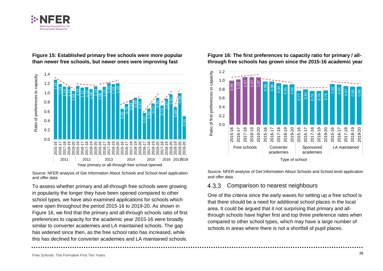



<span id="page-34-0"></span>**Figure 15: Established primary free schools were more popular than newer free schools, but newer ones were improving fast**

Source: NFER analysis of Get Information About Schools and School level application and offer data

To assess whether primary and all-through free schools were growing in popularity the longer they have been opened compared to other school types, we have also examined applications for schools which were open throughout the period 2015-16 to 2019-20. As shown in [Figure 16,](#page-34-1) we find that the primary and all-through schools ratio of first preferences to capacity for the academic year 2015-16 were broadly similar to converter academies and LA maintained schools. The gap has widened since then, as the free school ratio has increased, while this has declined for converter academies and LA maintained schools.

<span id="page-34-1"></span>**Figure 16: The first preferences to capacity ratio for primary / allthrough free schools has grown since the 2015-16 academic year**



Source: NFER analysis of Get Information About Schools and School level application and offer data

#### $4.3.3$ Comparison to nearest neighbours

One of the criteria since the early waves for setting up a free school is that there should be a need for additional school places in the local area. It could be argued that it not surprising that primary and allthrough schools have higher first and top three preference rates when compared to other school types, which may have a large number of schools in areas where there is not a shortfall of pupil places.

Free Schools: The Formative First Ten Years **<sup>26</sup>**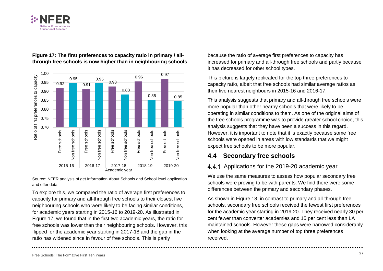



#### **Figure 17: The first preferences to capacity ratio in primary / allthrough free schools is now higher than in neighbouring schools**

Source: NFER analysis of get Information About Schools and School level application and offer data

To explore this, we compared the ratio of average first preferences to capacity for primary and all-through free schools to their closest five neighbouring schools who were likely to be facing similar conditions, for academic years starting in 2015-16 to 2019-20. As illustrated in Figure 17, we found that in the first two academic years, the ratio for free schools was lower than their neighbouring schools. However, this flipped for the academic year starting in 2017-18 and the gap in the ratio has widened since in favour of free schools. This is partly

because the ratio of average first preferences to capacity has increased for primary and all-through free schools and partly because it has decreased for other school types.

This picture is largely replicated for the top three preferences to capacity ratio, albeit that free schools had similar average ratios as their five nearest neighbours in 2015-16 and 2016-17.

This analysis suggests that primary and all-through free schools were more popular than other nearby schools that were likely to be operating in similar conditions to them. As one of the original aims of the free schools programme was to provide greater school choice, this analysis suggests that they have been a success in this regard. However, it is important to note that it is exactly because some free schools were opened in areas with low standards that we might expect free schools to be more popular.

### **4.4 Secondary free schools**

### 4.4.1 Applications for the 2019-20 academic year

We use the same measures to assess how popular secondary free schools were proving to be with parents. We find there were some differences between the primary and secondary phases.

As shown in Figure 18, in contrast to primary and all-through free schools, secondary free schools received the fewest first preferences for the academic year starting in 2019-20. They received nearly 30 per cent fewer than converter academies and 15 per cent less than LA maintained schools. However these gaps were narrowed considerably when looking at the average number of top three preferences received.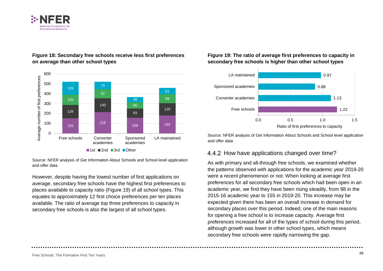



#### **Figure 18: Secondary free schools receive less first preferences on average than other school types**

Source: NFER analysis of Get Information About Schools and School level application and offer data

However, despite having the lowest number of first applications on average, secondary free schools have the highest first preferences to places available to capacity ratio (Figure 19) of all school types. This equates to approximately 12 first choice preferences per ten places available. The ratio of average top three preferences to capacity in secondary free schools is also the largest of all school types.

#### **Figure 19: The ratio of average first preferences to capacity in secondary free schools is higher than other school types**



Source: NFER analysis of Get Information About Schools and School level application and offer data

### 4.4.2 How have applications changed over time?

As with primary and all-through free schools, we examined whether the patterns observed with applications for the academic year 2019-20 were a recent phenomenon or not. When looking at average first preferences for all secondary free schools which had been open in an academic year, we find they have been rising steadily, from 98 in the 2015-16 academic year to 155 in 2019-20. This increase may be expected given there has been an overall increase in demand for secondary places over this period. Indeed, one of the main reasons for opening a free school is to increase capacity. Average first preferences increased for all of the types of school during this period, although growth was lower in other school types, which means secondary free schools were rapidly narrowing the gap.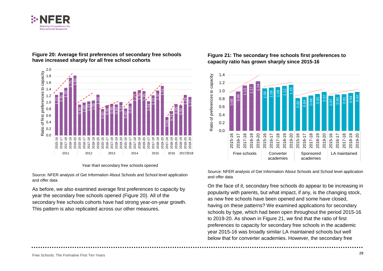



#### **Figure 20: Average first preferences of secondary free schools have increased sharply for all free school cohorts**

#### Year thart secondary free schools opened

Source: NFER analysis of Get Information About Schools and School level application and offer data

As before, we also examined average first preferences to capacity by year the secondary free schools opened (Figure 20). All of the secondary free schools cohorts have had strong year-on-year growth. This pattern is also replicated across our other measures.

## <span id="page-37-0"></span>**Figure 21: The secondary free schools first preferences to capacity ratio has grown sharply since 2015-16**



Source: NFER analysis of Get Information About Schools and School level application and offer data

On the face of it, secondary free schools do appear to be increasing in popularity with parents, but what impact, if any, is the changing stock, as new free schools have been opened and some have closed, having on these patterns? We examined applications for secondary schools by type, which had been open throughout the period 2015-16 to 2019-20. As shown in [Figure 21,](#page-37-0) we find that the ratio of first preferences to capacity for secondary free schools in the academic year 2015-16 was broadly similar LA maintained schools but well below that for converter academies. However, the secondary free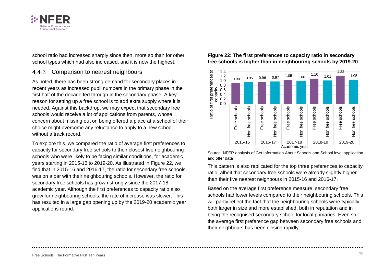

school ratio had increased sharply since then, more so than for other school types which had also increased, and it is now the highest.

#### 4.4.3 Comparison to nearest neighbours

As noted, there has been strong demand for secondary places in recent years as increased pupil numbers in the primary phase in the first half of the decade fed through in the secondary phase. A key reason for setting up a free school is to add extra supply where it is needed. Against this backdrop, we may expect that secondary free schools would receive a lot of applications from parents, whose concern about missing out on being offered a place at a school of their choice might overcome any reluctance to apply to a new school without a track record.

To explore this, we compared the ratio of average first preferences to capacity for secondary free schools to their closest five neighbouring schools who were likely to be facing similar conditions, for academic years starting in 2015-16 to 2019-20. As illustrated in Figure 22, we find that in 2015-16 and 2016-17, the ratio for secondary free schools was on a par with their neighbouring schools. However, the ratio for secondary free schools has grown strongly since the 2017-18 academic year. Although the first preferences to capacity ratio also grew for neighbouring schools, the rate of increase was slower. This has resulted in a large gap opening up by the 2019-20 academic year applications round.

#### **Figure 22: The first preferences to capacity ratio in secondary free schools is higher than in neighbouring schools by 2019-20**



Source: NFER analysis of Get Information About Schools and School level application and offer data

This pattern is also replicated for the top three preferences to capacity ratio, albeit that secondary free schools were already slightly higher than their five nearest neighbours in 2015-16 and 2016-17.

Based on the average first preference measure, secondary free schools had lower levels compared to their neighbouring schools. This will partly reflect the fact that the neighbouring schools were typically both larger in size and more established, both in reputation and in being the recognised secondary school for local primaries. Even so, the average first preference gap between secondary free schools and their neighbours has been closing rapidly.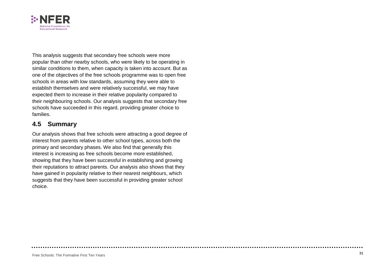

This analysis suggest s that secondary free schools were more popular than other nearby schools, who were likely to be operating in similar conditions to them, when capacity is taken into account. But as one of the objectives of the free schools programme was to open free schools in areas with low standards, assuming they were able to establish themselves and were relatively successful, we may have expected them to increase in their relative popularity compared to their neighbouring schools. Our analysis suggests that secondary free schools have succeeded in this regard, providing greater choice to families .

### **4.5 Summary**

Our analysis shows that free schools were attracting a good degree of interest from parents relative to other school types, across both the primary and secondary phases. We also find that generally this interest is increasing as free schools become more established, showing that they have been successful in establishing and growing their reputations to attract parents . Our analysis also shows that they have gained in popularity relative to their nearest neighbours, which suggests that they have been successful in providing greater school choice .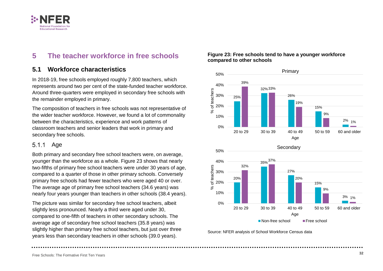

## <span id="page-40-0"></span>**5 The teacher workforce in free schools**

### **5.1 Workforce characteristics**

In 2018-19, free schools employed roughly 7,800 teachers, which represents around two per cent of the state-funded teacher workforce. Around three-quarters were employed in secondary free schools with the remainder employed in primary.

The composition of teachers in free schools was not representative of the wider teacher workforce. However, we found a lot of commonality between the characteristics, experience and work patterns of classroom teachers and senior leaders that work in primary and secondary free schools.

### 5.1.1 Age

Both primary and secondary free school teachers were, on average, younger than the workforce as a whole. [Figure 23](#page-40-1) shows that nearly two-fifths of primary free school teachers were under 30 years of age, compared to a quarter of those in other primary schools. Conversely primary free schools had fewer teachers who were aged 40 or over. The average age of primary free school teachers (34.6 years) was nearly four years younger than teachers in other schools (38.4 years).

The picture was similar for secondary free school teachers, albeit slightly less pronounced. Nearly a third were aged under 30, compared to one-fifth of teachers in other secondary schools. The average age of secondary free school teachers (35.8 years) was slightly higher than primary free school teachers, but just over three years less than secondary teachers in other schools (39.0 years).

## <span id="page-40-1"></span>**Figure 23: Free schools tend to have a younger workforce compared to other schools**



Source: NFER analysis of School Workforce Census data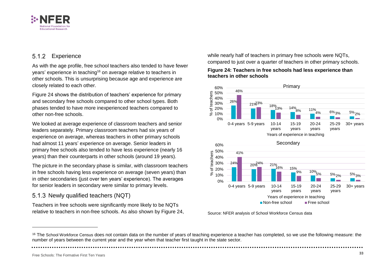

#### **Experience**  $5.1.2$

As with the age profile, free school teachers also tended to have fewer years' experience in teaching<sup>16</sup> on average relative to teachers in other schools. This is unsurprising because age and experience are closely related to each other.

Figure 24 shows the distribution of teachers' experience for primary and secondary free schools compared to other school types. Both phases tended to have more inexperienced teachers compared to other non-free schools.

We looked at average experience of classroom teachers and senior leaders separately. Primary classroom teachers had six years of experience on average, whereas teachers in other primary schools had almost 11 years' experience on average. Senior leaders in primary free schools also tended to have less experience (nearly 16 years) than their counterparts in other schools (around 19 years).

The picture in the secondary phase is similar, with classroom teachers in free schools having less experience on average (seven years) than in other secondaries (just over ten years' experience). The averages for senior leaders in secondary were similar to primary levels.

### 5.1.3 Newly qualified teachers (NQT)

Teachers in free schools were significantly more likely to be NQTs relative to teachers in non-free schools. As also shown by Figure 24, while nearly half of teachers in primary free schools were NQTs, compared to just over a quarter of teachers in other primary schools.

#### **Figure 24: Teachers in free schools had less experience than teachers in other schools**





<sup>&</sup>lt;sup>16</sup> The School Workforce Census does not contain data on the number of years of teaching experience a teacher has completed, so we use the following measure: the number of years between the current year and the year when that teacher first taught in the state sector.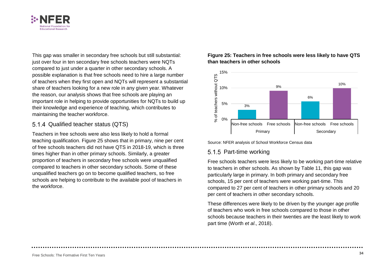

This gap was smaller in secondary free schools but still substantial: just over four in ten secondary free schools teachers were NQTs compared to just under a quarter in other secondary schools. A possible explanation is that free schools need to hire a large number of teachers when they first open and NQTs will represent a substantial share of teachers looking for a new role in any given year. Whatever the reason, our analysis shows that free schools are playing an important role in helping to provide opportunities for NQTs to build up their knowledge and experience of teaching, which contributes to maintaining the teacher workforce.

#### 5.1.4 Qualified teacher status (QTS)

Teachers in free schools were also less likely to hold a formal teaching qualification. [Figure 25](#page-42-0) shows that in primary, nine per cent of free schools teachers did not have QTS in 2018-19, which is three times higher than in other primary schools. Similarly, a greater proportion of teachers in secondary free schools were unqualified compared to teachers in other secondary schools. Some of these unqualified teachers go on to become qualified teachers, so free schools are helping to contribute to the available pool of teachers in the workforce.

#### <span id="page-42-0"></span>**Figure 25: Teachers in free schools were less likely to have QTS than teachers in other schools**





### 5.1.5 Part-time working

Free schools teachers were less likely to be working part-time relative to teachers in other schools. As shown by [Table 11,](#page-43-0) this gap was particularly large in primary. In both primary and secondary free schools, 15 per cent of teachers were working part-time. This compared to 27 per cent of teachers in other primary schools and 20 per cent of teachers in other secondary schools.

These differences were likely to be driven by the younger age profile of teachers who work in free schools compared to those in other schools because teachers in their twenties are the least likely to work part time (Worth *et al*., 2018).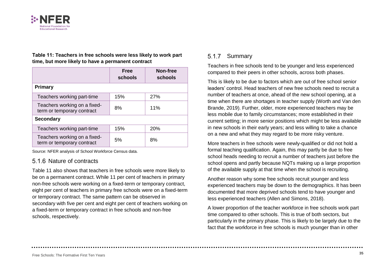

<span id="page-43-0"></span>**Table 11: Teachers in free schools were less likely to work part time, but more likely to have a permanent contract** 

|                                                            | <b>Free</b><br>schools | Non-free<br>schools |  |  |
|------------------------------------------------------------|------------------------|---------------------|--|--|
| <b>Primary</b>                                             |                        |                     |  |  |
| Teachers working part-time                                 | 15%                    | 27%                 |  |  |
| Teachers working on a fixed-<br>term or temporary contract | 8%                     | 11%                 |  |  |
| <b>Secondary</b>                                           |                        |                     |  |  |
| Teachers working part-time                                 | 15%                    | <b>20%</b>          |  |  |
| Teachers working on a fixed-<br>term or temporary contract | 5%                     | 8%                  |  |  |

Source: NFER analysis of School Workforce Census data.

### 5.1.6 Nature of contracts

[Table 11](#page-43-0) also shows that teachers in free schools were more likely to be on a permanent contract. While 11 per cent of teachers in primary non-free schools were working on a fixed-term or temporary contract, eight per cent of teachers in primary free schools were on a fixed-term or temporary contract. The same pattern can be observed in secondary with five per cent and eight per cent of teachers working on a fixed-term or temporary contract in free schools and non-free schools, respectively.

#### 5.1.7 Summary

Teachers in free schools tend to be younger and less experienced compared to their peers in other schools, across both phases.

This is likely to be due to factors which are out of free school senior leaders' control. Head teachers of new free schools need to recruit a number of teachers at once, ahead of the new school opening, at a time when there are shortages in teacher supply (Worth and Van den Brande, 2019). Further, older, more experienced teachers may be less mobile due to family circumstances; more established in their current setting; in more senior positions which might be less available in new schools in their early years; and less willing to take a chance on a new and what they may regard to be more risky venture.

More teachers in free schools were newly-qualified or did not hold a formal teaching qualification. Again, this may partly be due to free school heads needing to recruit a number of teachers just before the school opens and partly because NQTs making up a large proportion of the available supply at that time when the school is recruiting.

Another reason why some free schools recruit younger and less experienced teachers may be down to the demographics. It has been documented that more deprived schools tend to have younger and less experienced teachers (Allen and Simons, 2018).

A lower proportion of the teacher workforce in free schools work part time compared to other schools. This is true of both sectors, but particularly in the primary phase. This is likely to be largely due to the fact that the workforce in free schools is much younger than in other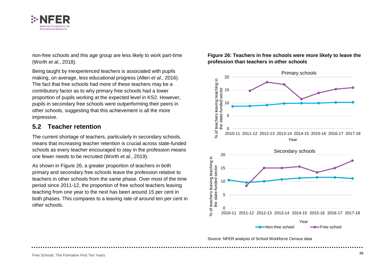

non-free schools and this age group are less likely to work part-time (Worth *et al*., 2018).

Being taught by inexperienced teachers is associated with pupils making, on average, less educational progress (Allen *et al*., 2016). The fact that free schools had more of these teachers may be a contributory factor as to why primary free schools had a lower proportion of pupils working at the expected level in KS2. However, pupils in secondary free schools were outperforming their peers in other schools, suggesting that this achievement is all the more impressive.

### **5.2 Teacher retention**

The current shortage of teachers, particularly in secondary schools, means that increasing teacher retention is crucial across state-funded schools as every teacher encouraged to stay in the profession means one fewer needs to be recruited (Worth *et al*., 2019).

As shown in [Figure 26,](#page-44-0) a greater proportion of teachers in both primary and secondary free schools leave the profession relative to teachers in other schools from the same phase. Over most of the time period since 2011-12, the proportion of free school teachers leaving teaching from one year to the next has been around 15 per cent in both phases. This compares to a leaving rate of around ten per cent in other schools.

#### <span id="page-44-0"></span>**Figure 26: Teachers in free schools were more likely to leave the profession than teachers in other schools**



Source: NFER analysis of School Workforce Census data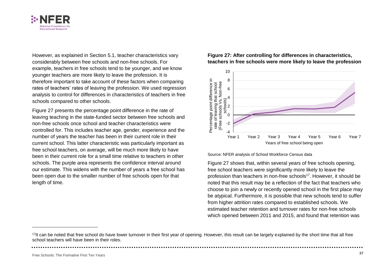

However, as explained in Section 5.1, teacher characteristics vary considerably between free schools and non-free schools. For example, teachers in free schools tend to be younger, and we know younger teachers are more likely to leave the profession. It is therefore important to take account of these factors when comparing rates of teachers' rates of leaving the profession. We used regression analysis to control for differences in characteristics of teachers in free schools compared to other schools.

[Figure 27](#page-45-0) presents the percentage point difference in the rate of leaving teaching in the state-funded sector between free schools and non-free schools once school and teacher characteristics were controlled for. This includes teacher age, gender, experience and the number of years the teacher has been in their current role in their current school. This latter characteristic was particularly important as free school teachers, on average, will be much more likely to have been in their current role for a small time relative to teachers in other schools. The purple area represents the confidence interval around our estimate. This widens with the number of years a free school has been open due to the smaller number of free schools open for that length of time.

<span id="page-45-0"></span>**Figure 27: After controlling for differences in characteristics, teachers in free schools were more likely to leave the profession**



Source: NFER analysis of School Workforce Census data

[Figure 27](#page-45-0) shows that, within several years of free schools opening, free school teachers were significantly more likely to leave the profession than teachers in non-free schools<sup>17</sup>. However, it should be noted that this result may be a reflection of the fact that teachers who choose to join a newly or recently opened school in the first place may be atypical. Furthermore, it is possible that new schools tend to suffer from higher attrition rates compared to established schools. We estimated teacher retention and turnover rates for non-free schools which opened between 2011 and 2015, and found that retention was

<sup>&</sup>lt;sup>17</sup>It can be noted that free school do have lower turnover in their first year of opening. However, this result can be largely explained by the short time that all free school teachers will have been in their roles.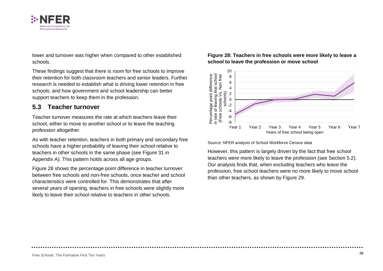

lower and turnover was higher when compared to other established schools.

These findings suggest that there is room for free schools to improve their retention for both classroom teachers and senior leaders. Further research is needed to establish what is driving lower retention in free schools; and how government and school leadership can better support teachers to keep them in the profession.

### **5.3 Teacher turnover**

Teacher turnover measures the rate at which teachers leave their school, either to move to another school or to leave the teaching profession altogether.

As with teacher retention, teachers in both primary and secondary free schools have a higher probability of leaving their school relative to teachers in other schools in the same phase (see Figure 31 in Appendix A). This pattern holds across all age groups.

Figure 28 shows the percentage point difference in teacher turnover between free schools and non-free schools, once teacher and school characteristics were controlled for. This demonstrates that after several years of opening, teachers in free schools were slightly more likely to leave their school relative to teachers in other schools.

#### **Figure 28: Teachers in free schools were more likely to leave a school to leave the profession or move school**



Source: NFER analysis of School Workforce Census data

However, this pattern is largely driven by the fact that free school teachers were more likely to leave the profession (see Section 5.2). Our analysis finds that, when excluding teachers who leave the profession, free school teachers were no more likely to move school than other teachers, as shown by Figure 29.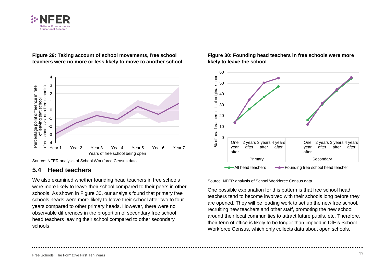



**Figure 29: Taking account of school movements, free school teachers were no more or less likely to move to another school** 

### **5.4 Head teachers**

We also examined whether founding head teachers in free schools were more likely to leave their school compared to their peers in other schools. As shown in Figure 30, our analysis found that primary free schools heads were more likely to leave their school after two to four years compared to other primary heads. However, there were no observable differences in the proportion of secondary free school head teachers leaving their school compared to other secondary schools.





Source: NFER analysis of School Workforce Census data

One possible explanation for this pattern is that free school head teachers tend to become involved with their schools long before they are opened. They will be leading work to set up the new free school, recruiting new teachers and other staff, promoting the new school around their local communities to attract future pupils, etc. Therefore, their term of office is likely to be longer than implied in DfE's School Workforce Census, which only collects data about open schools.

Source: NFER analysis of School Workforce Census data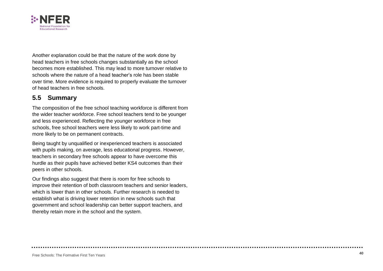

Another explanation could be that the nature of the work done by head teachers in free schools change s substantially as the school becomes more established. This may lead to more turnover relative to schools where the nature of a head teacher's role has been stable over time. More evidence is required to properly evaluate the turnover of head teachers in free schools.

### **5.5 Summary**

The composition of the free school teaching workforce is different from the wider teacher workforce. Free school teachers tend to be younger and less experienced. Reflecting the younger workforce in free schools, free school teachers were less likely to work part-time and more likely to be on permanent contracts.

Being taught by unqualified or inexperienced teachers is associated with pupils making, on average, less educational progress. However, teachers in secondary free schools appear to have overcome this hurdle as their pupils have achieved better KS4 outcomes than their peers in other schools.

Our findings also suggest that there is room for free schools to improve their retention of both classroom teachers and senior leaders , which is lower than in other schools. Further research is needed to establish what is driving lower retention in new schools such that government and school leadership can better support teachers, and thereby retain more in the school and the system.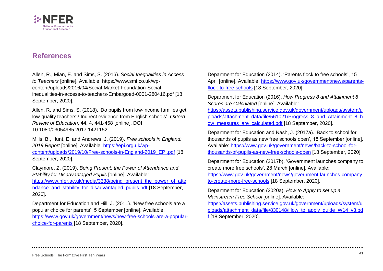

### <span id="page-49-0"></span>**References**

Allen, R., Mian, E. and Sims, S. (2016). *Social Inequalities in Access to Teachers* [online]. Available: [https://www.smf.co.uk/wp](https://www.smf.co.uk/wp-content/uploads/2016/04/Social-Market-Foundation-Social-inequalities-in-access-to-teachers-Embargoed-0001-280416.pdf%20%5b18)[content/uploads/2016/04/Social-Market-Foundation-Social](https://www.smf.co.uk/wp-content/uploads/2016/04/Social-Market-Foundation-Social-inequalities-in-access-to-teachers-Embargoed-0001-280416.pdf%20%5b18)[inequalities-in-access-to-teachers-Embargoed-0001-280416.pdf \[18](https://www.smf.co.uk/wp-content/uploads/2016/04/Social-Market-Foundation-Social-inequalities-in-access-to-teachers-Embargoed-0001-280416.pdf%20%5b18) September, 2020].

Allen, R. and Sims, S. (2018). 'Do pupils from low-income families get low-quality teachers? Indirect evidence from English schools', *Oxford Review of Education*, **44**, 4, 441-458 [online]. DOI 10.1080/03054985.2017.1421152.

Mills, B., Hunt, E. and Andrews, J. (2019). *Free schools in England: 2019 Report* [online]. Available: [https://epi.org.uk/wp](https://epi.org.uk/wp-content/uploads/2019/10/Free-schools-in-England-2019_EPI.pdf)[content/uploads/2019/10/Free-schools-in-England-2019\\_EPI.pdf](https://epi.org.uk/wp-content/uploads/2019/10/Free-schools-in-England-2019_EPI.pdf) [18 September, 2020].

Claymore, Z. (2019). *Being Present: the Power of Attendance and Stability for Disadvantaged Pupils* [online]. Available:

[https://www.nfer.ac.uk/media/3338/being\\_present\\_the\\_power\\_of\\_atte](https://www.nfer.ac.uk/media/3338/being_present_the_power_of_attendance_and_stability_for_disadvantaged_pupils.pdf) ndance and stability for disadvantaged pupils.pdf [18 September, 2020].

Department for Education and Hill, J. (2011). 'New free schools are a popular choice for parents', 5 September [online]. Available: https://www.gov.uk/government/news/new-free-schools-are-a-popularchoice-for-parents [18 September, 2020].

Department for Education (2014). 'Parents flock to free schools', 15 April [online]. Available: https://www.gov.uk/government/news/parentsflock-to-free-schools [18 September, 2020].

Department for Education (2016). *How Progress 8 and Attainment 8 Scores are Calculated* [online]. Available:

[https://assets.publishing.service.gov.uk/government/uploads/system/u](https://assets.publishing.service.gov.uk/government/uploads/system/uploads/attachment_data/file/561021/Progress_8_and_Attainment_8_how_measures_are_calculated.pdf) [ploads/attachment\\_data/file/561021/Progress\\_8\\_and\\_Attainment\\_8\\_h](https://assets.publishing.service.gov.uk/government/uploads/system/uploads/attachment_data/file/561021/Progress_8_and_Attainment_8_how_measures_are_calculated.pdf) ow measures are calculated.pdf [18 September, 2020].

Department for Education and Nash, J. (2017a). 'Back to school for thousands of pupils as new free schools open', 18 September [online]. Available: https://www.gov.uk/government/news/back-to-school-forthousands-of-pupils-as-new-free-schools-open [18 September, 2020].

Department for Education (2017b). 'Government launches company to create more free schools', 28 March [online]. Available:

https://www.gov.uk/government/news/government-launches-companyto-create-more-free-schools [18 September, 2020].

Department for Education (2020a). *How to Apply to set up a Mainstream Free School* [online]. Available:

[https://assets.publishing.service.gov.uk/government/uploads/system/u](https://assets.publishing.service.gov.uk/government/uploads/system/uploads/attachment_data/file/830148/How_to_apply_guide_W14_v3.pdf) [ploads/attachment\\_data/file/830148/How\\_to\\_apply\\_guide\\_W14\\_v3.pd](https://assets.publishing.service.gov.uk/government/uploads/system/uploads/attachment_data/file/830148/How_to_apply_guide_W14_v3.pdf) [f](https://assets.publishing.service.gov.uk/government/uploads/system/uploads/attachment_data/file/830148/How_to_apply_guide_W14_v3.pdf) [18 September, 2020].

Free Schools: The Formative First Ten Years **<sup>41</sup>**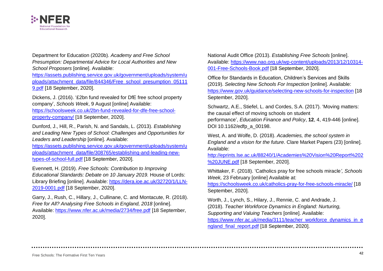

Department for Education (2020b). *Academy and Free School Presumption: Departmental Advice for Local Authorities and New School Proposers* [online]. Available:

https://assets.publishing.service.gov.uk/government/uploads/system/u ploads/attachment\_data/file/844346/Free\_school\_presumption\_05111 9.pdf [18 September, 2020].

Dickens, J. (2016). '£2bn fund revealed for DfE free school property company', *Schools Week*, 9 August [online] Available: [https://schoolsweek.co.uk/2bn-fund-revealed-for-dfe-free-school](https://schoolsweek.co.uk/2bn-fund-revealed-for-dfe-free-school-property-company/)[property-company/](https://schoolsweek.co.uk/2bn-fund-revealed-for-dfe-free-school-property-company/) [18 September, 2020].

Dunford, J., Hill, R., Parish, N. and Sandals, L. (2013). *Establishing and Leading New Types of School: Challenges and Opportunities for Leaders and Leadership* [online]. Available:

[https://assets.publishing.service.gov.uk/government/uploads/system/u](https://assets.publishing.service.gov.uk/government/uploads/system/uploads/attachment_data/file/308765/establishing-and-leading-new-types-of-school-full.pdf) [ploads/attachment\\_data/file/308765/establishing-and-leading-new](https://assets.publishing.service.gov.uk/government/uploads/system/uploads/attachment_data/file/308765/establishing-and-leading-new-types-of-school-full.pdf)[types-of-school-full.pdf](https://assets.publishing.service.gov.uk/government/uploads/system/uploads/attachment_data/file/308765/establishing-and-leading-new-types-of-school-full.pdf) [18 September, 2020].

Evennett, H. (2019). *Free Schools: Contribution to Improving Educational Standards: Debate on 10 January 2019.* House of Lords: Library Briefing [online]. Available: [https://dera.ioe.ac.uk/32720/1/LLN-](https://dera.ioe.ac.uk/32720/1/LLN-2019-0001.pdf)[2019-0001.pdf](https://dera.ioe.ac.uk/32720/1/LLN-2019-0001.pdf) [18 September, 2020].

Garry, J., Rush, C., Hillary, J., Cullinane, C. and Montacute, R. (2018). *Free for All? Analysing Free Schools in England, 2018* [online]. Available: <https://www.nfer.ac.uk/media/2734/free.pdf> [18 September, 2020].

National Audit Office (2013). *Establishing Free Schools* [online]. Available: [https://www.nao.org.uk/wp-content/uploads/2013/12/10314-](https://www.nao.org.uk/wp-content/uploads/2013/12/10314-001-Free-Schools-Book.pdf) [001-Free-Schools-Book.pdf](https://www.nao.org.uk/wp-content/uploads/2013/12/10314-001-Free-Schools-Book.pdf) [18 September, 2020].

Office for Standards in Education, Children's Services and Skills (2019). *Selecting New Schools For Inspection* [online]. Available: <https://www.gov.uk/guidance/selecting-new-schools-for-inspection> [18 September, 2020].

Schwartz, A.E., Stiefel, L. and Cordes, S.A. (2017). 'Moving matters: the causal effect of moving schools on student performance', *Education Finance and Policy*, **12**, 4, 419-446 [online]. DOI 10.1162/edfp\_a\_00198.

West, A. and Wolfe, D. (2018). *Academies, the school system in England and a vision for the future*. Clare Market Papers (23) [online]. Available:

[http://eprints.lse.ac.uk/88240/1/Academies%20Vision%20Report%202](http://eprints.lse.ac.uk/88240/1/Academies%20Vision%20Report%202%20JUNE.pdf) [%20JUNE.pdf](http://eprints.lse.ac.uk/88240/1/Academies%20Vision%20Report%202%20JUNE.pdf) [18 September, 2020].

Whittaker, F. (2018). 'Catholics pray for free schools miracle*', Schools Week,* 23 February [online] Available at:

<https://schoolsweek.co.uk/catholics-pray-for-free-schools-miracle/> [18 September, 2020].

Worth, J., Lynch, S., Hilary, J., Rennie, C. and Andrade, J. (2018). *Teacher Workforce Dynamics in England: Nurturing, Supporting and Valuing Teachers* [online]. Available: [https://www.nfer.ac.uk/media/3111/teacher\\_workforce\\_dynamics\\_in\\_e](https://www.nfer.ac.uk/media/3111/teacher_workforce_dynamics_in_england_final_report.pdf) ngland final report.pdf [18 September, 2020].

Free Schools: The Formative First Ten Years **<sup>42</sup>**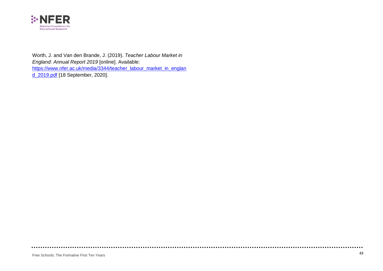

Worth, J. and Van den Brande, J. (2019). *Teacher Labour Market in England: Annual Report 2019* [online]. Available: [https://www.nfer.ac.uk/media/3344/teacher\\_labour\\_market\\_in\\_englan](https://www.nfer.ac.uk/media/3344/teacher_labour_market_in_england_2019.pdf) [d\\_2019.pdf](https://www.nfer.ac.uk/media/3344/teacher_labour_market_in_england_2019.pdf) [18 September, 2020].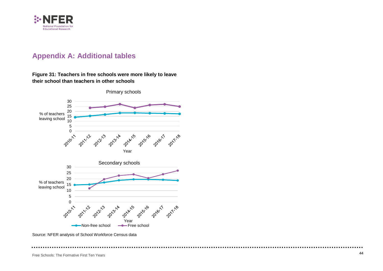

## <span id="page-52-0"></span>**Appendix A : Additional table s**

#### **Figure 31 : Teachers in free schools were more likely to leave their school than teachers in other schools**



Free Schools: The Formative First Ten Years **<sup>44</sup>**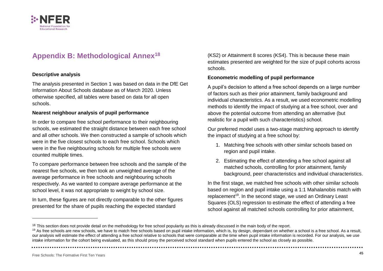

## <span id="page-53-0"></span>**Appendix B: Methodological Annex<sup>18</sup>**

#### **Descriptive analysis**

The analysis presented in Section [1](#page-9-0) was based on data in the DfE Get Information About Schools database as of March 2020. Unless otherwise specified, all tables were based on data for all open schools.

#### **Nearest neighbour analysis of pupil performance**

In order to compare free school performance to their neighbouring schools, we estimated the straight distance between each free school and all other schools. We then constructed a sample of schools which were in the five closest schools to each free school. Schools which were in the five neighbouring schools for multiple free schools were counted multiple times.

To compare performance between free schools and the sample of the nearest five schools, we then took an unweighted average of the average performance in free schools and neighbouring schools respectively. As we wanted to compare average performance at the school level, it was not appropriate to weight by school size.

In turn, these figures are not directly comparable to the other figures presented for the share of pupils reaching the expected standard

(KS2) or Attainment 8 scores (KS4). This is because these main estimates presented are weighted for the size of pupil cohorts across schools.

#### **Econometric modelling of pupil performance**

A pupil's decision to attend a free school depends on a large number of factors such as their prior attainment, family background and individual characteristics. As a result, we used econometric modelling methods to identify the impact of studying at a free school, over and above the potential outcome from attending an alternative (but realistic for a pupil with such characteristics) school.

Our preferred model uses a two-stage matching approach to identify the impact of studying at a free school by:

- 1. Matching free schools with other similar schools based on region and pupil intake.
- 2. Estimating the effect of attending a free school against all matched schools, controlling for prior attainment, family background, peer characteristics and individual characteristics.

In the first stage, we matched free schools with other similar schools based on region and pupil intake using a 1:1 Mahalanobis match with replacement<sup>19</sup>. In the second stage, we used an Ordinary Least Squares (OLS) regression to estimate the effect of attending a free school against all matched schools controlling for prior attainment,

<sup>&</sup>lt;sup>18</sup> This section does not provide detail on the methodology for free school popularity as this is already discussed in the main body of the report.

<sup>&</sup>lt;sup>19</sup> As free schools are new schools, we have to match free schools based on pupil intake information, which is, by design, dependant on whether a school is a free school. As a result, our analysis will estimate the effect of attending a free school relative to schools that were comparable at the time when pupil intake information is recorded. For our analysis, we use intake information for the cohort being evaluated, as this should proxy the perceived school standard when pupils entered the school as closely as possible.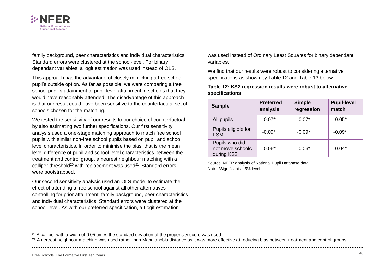

family background, peer characteristics and individual characteristics. Standard errors were clustered at the school-level. For binary dependant variables, a logit estimation was used instead of OLS.

This approach has the advantage of closely mimicking a free school pupil's outside option. As far as possible, we were comparing a free school pupil's attainment to pupil-level attainment in schools that they would have reasonably attended. The disadvantage of this approach is that our result could have been sensitive to the counterfactual set of schools chosen for the matching.

We tested the sensitivity of our results to our choice of counterfactual by also estimating two further specifications. Our first sensitivity analysis used a one-stage matching approach to match free school pupils with similar non-free school pupils based on pupil and school level characteristics. In order to minimise the bias, that is the mean level difference of pupil and school level characteristics between the treatment and control group, a nearest neighbour matching with a calliper threshold<sup>20</sup> with replacement was used<sup>21</sup>. Standard errors were bootstrapped.

Our second sensitivity analysis used an OLS model to estimate the effect of attending a free school against all other alternatives controlling for prior attainment, family background, peer characteristics and individual characteristics. Standard errors were clustered at the school-level. As with our preferred specification, a Logit estimation

was used instead of Ordinary Least Squares for binary dependant variables.

We find that our results were robust to considering alternative specifications as shown by [Table 12](#page-54-0) and [Table 13](#page-55-0) below.

#### <span id="page-54-0"></span>**Table 12: KS2 regression results were robust to alternative specifications**

| <b>Sample</b>                                    | <b>Preferred</b><br>analysis | <b>Simple</b><br>regression | <b>Pupil-level</b><br>match |
|--------------------------------------------------|------------------------------|-----------------------------|-----------------------------|
| All pupils                                       | $-0.07*$                     | $-0.07*$                    | $-0.05*$                    |
| Pupils eligible for<br><b>FSM</b>                | $-0.09*$                     | $-0.09*$                    | $-0.09*$                    |
| Pupils who did<br>not move schools<br>during KS2 | $-0.06*$                     | $-0.06*$                    | $-0.04*$                    |

Source: NFER analysis of National Pupil Database data Note: \*Significant at 5% level

<sup>&</sup>lt;sup>20</sup> A calliper with a width of 0.05 times the standard deviation of the propensity score was used.

<sup>&</sup>lt;sup>21</sup> A nearest neighbour matching was used rather than Mahalanobis distance as it was more effective at reducing bias between treatment and control groups.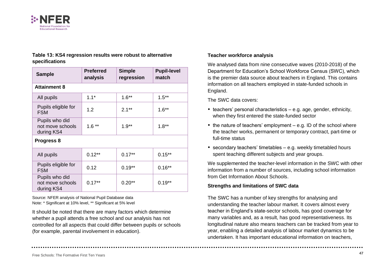

#### <span id="page-55-0"></span>**Table 13: KS4 regression results were robust to alternative specifications**

| <b>Sample</b>                                    | <b>Preferred</b><br>analysis | <b>Simple</b><br>regression | <b>Pupil-level</b><br>match |  |
|--------------------------------------------------|------------------------------|-----------------------------|-----------------------------|--|
| <b>Attainment 8</b>                              |                              |                             |                             |  |
| All pupils                                       | $1.1*$                       | $1.6***$                    | $1.5***$                    |  |
| Pupils eligible for<br><b>FSM</b>                | 1.2                          | $2.1**$                     | $1.6**$                     |  |
| Pupils who did<br>not move schools<br>during KS4 | $1.6**$                      | $1.9**$                     | $1.8**$                     |  |
| Progress 8                                       |                              |                             |                             |  |
| All pupils                                       | $0.12***$                    | $0.17***$                   | $0.15***$                   |  |
| Pupils eligible for<br><b>FSM</b>                | 0.12                         | $0.19**$                    | $0.16**$                    |  |
| Pupils who did<br>not move schools<br>during KS4 | $0.17**$                     | $0.20**$                    | $0.19**$                    |  |

Source: NFER analysis of National Pupil Database data Note: \* Significant at 10% level, \*\* Significant at 5% level

It should be noted that there are many factors which determine whether a pupil attends a free school and our analysis has not controlled for all aspects that could differ between pupils or schools (for example, parental involvement in education).

#### **Teacher workforce analysis**

We analysed data from nine consecutive waves (2010-2018) of the Department for Education's School Workforce Census (SWC), which is the premier data source about teachers in England. This contains information on all teachers employed in state-funded schools in England.

The SWC data covers:

- $\bullet$  teachers' personal characteristics e.g. age, gender, ethnicity, when they first entered the state-funded sector
- $\bullet$  the nature of teachers' employment e.g. ID of the school where the teacher works, permanent or temporary contract, part-time or full-time status
- secondary teachers' timetables e.g. weekly timetabled hours spent teaching different subjects and year groups.

We supplemented the teacher-level information in the SWC with other information from a number of sources, including school information from Get Information About Schools.

#### **Strengths and limitations of SWC data**

The SWC has a number of key strengths for analysing and understanding the teacher labour market. It covers almost every teacher in England's state-sector schools, has good coverage for many variables and, as a result, has good representativeness. Its longitudinal nature also means teachers can be tracked from year to year, enabling a detailed analysis of labour market dynamics to be undertaken. It has important educational information on teachers,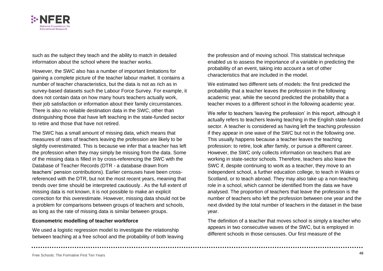

such as the subject they teach and the ability to match in detailed information about the school where the teacher works.

However, the SWC also has a number of important limitations for gaining a complete picture of the teacher labour market. It contains a number of teacher characteristics, but the data is not as rich as in survey-based datasets such the Labour Force Survey. For example, it does not contain data on how many hours teachers actually work, their job satisfaction or information about their family circumstances. There is also no reliable destination data in the SWC, other than distinguishing those that have left teaching in the state-funded sector to retire and those that have not retired.

The SWC has a small amount of missing data, which means that measures of rates of teachers leaving the profession are likely to be slightly overestimated. This is because we infer that a teacher has left the profession when they may simply be missing from the data. Some of the missing data is filled in by cross-referencing the SWC with the Database of Teacher Records (DTR - a database drawn from teachers' pension contributions). Earlier censuses have been crossreferenced with the DTR, but not the most recent years, meaning that trends over time should be interpreted cautiously . As the full extent of missing data is not known, it is not possible to make an explicit correction for this overestimate. However, missing data should not be a problem for comparisons between groups of teachers and schools, as long as the rate of missing data is similar between groups.

#### **Econometric modelling of teacher workforce**

We used a logistic regression model to investigate the relationship between teaching at a free school and the probability of both leaving the profession and of moving school. This statistical technique enabled us to assess the importance of a variable in predicting the probability of an event, taking into account a set of other characteristics that are included in the model.

We estimated two different sets of models: the first predicted the probability that a teacher leaves the profession in the following academic year, while the second predicted the probability that a teacher moves to a different school in the following academic year.

We refer to teachers 'leaving the profession' in this report, although it actually refers to teachers leaving teaching in the English state-funded sector. A teacher is considered as having left the teaching profession if they appear in one wave of the SWC but not in the following one. This usually happens because a teacher leaves the teaching profession: to retire, look after family, or pursue a different career. However, the SWC only collects information on teachers that are working in state-sector schools. Therefore, teachers also leave the SWC if, despite continuing to work as a teacher, they move to an independent school, a further education college, to teach in Wales or Scotland, or to teach abroad. They may also take up a non-teaching role in a school, which cannot be identified from the data we have analysed. The proportion of teachers that leave the profession is the number of teachers who left the profession between one year and the next divided by the total number of teachers in the dataset in the base year.

The definition of a teacher that moves school is simply a teacher who appears in two consecutive waves of the SWC, but is employed in different schools in those censuses. Our first measure of the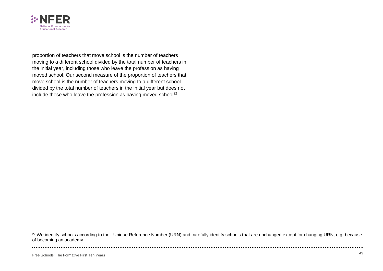

proportion of teachers that move school is the number of teachers moving to a different school divided by the total number of teachers in the initial year, including those who leave the profession as having moved school. Our second measure of the proportion of teachers that move school is the number of teachers moving to a different school divided by the total number of teachers in the initial year but does not include those who leave the profession as having moved school $^{22}$ .

<sup>&</sup>lt;sup>22</sup> We identify schools according to their Unique Reference Number (URN) and carefully identify schools that are unchanged except for changing URN, e.g. because of becoming an academy.